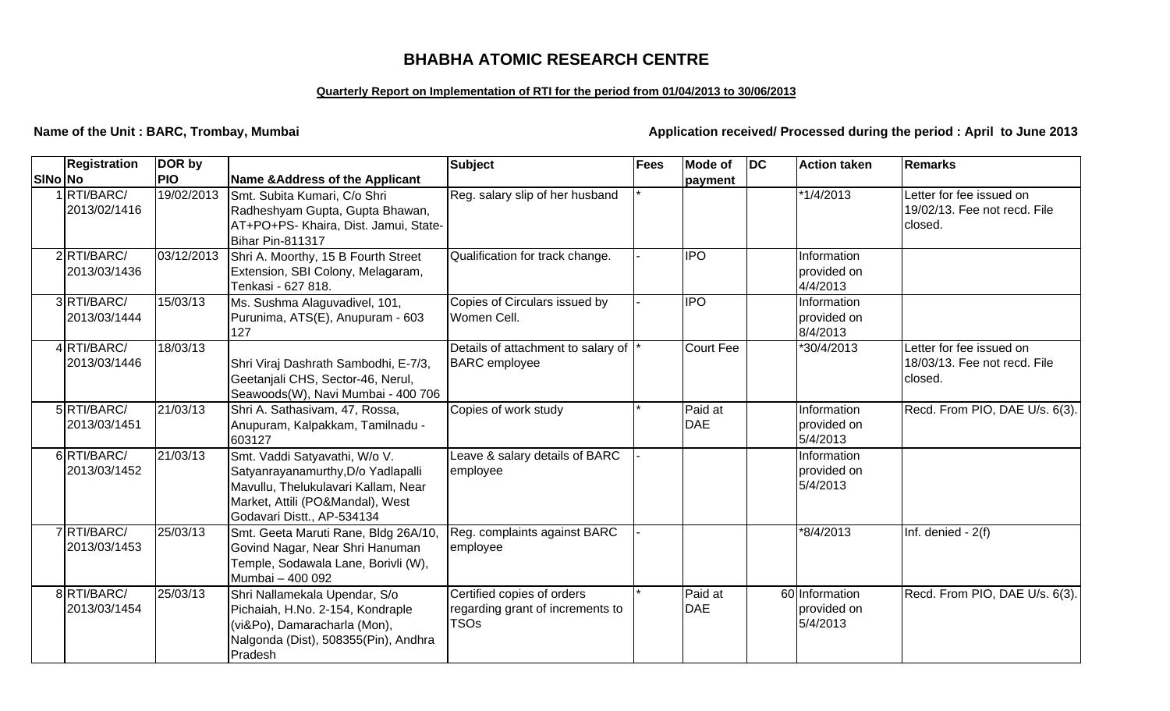## **BHABHA ATOMIC RESEARCH CENTRE**

### **Quarterly Report on Implementation of RTI for the period from 01/04/2013 to 30/06/2013**

**Name of the Unit : BARC, Trombay, Mumbai** *Application received/ Processed during the period : April to June 2013* 

|                | <b>Registration</b>         | DOR by     |                                                                                                                                                                              | <b>Subject</b>                                                                | Fees | <b>Mode of</b>        | DC | <b>Action taken</b>                       | Remarks                                                             |
|----------------|-----------------------------|------------|------------------------------------------------------------------------------------------------------------------------------------------------------------------------------|-------------------------------------------------------------------------------|------|-----------------------|----|-------------------------------------------|---------------------------------------------------------------------|
| <b>SINo No</b> |                             | <b>PIO</b> | <b>Name &amp;Address of the Applicant</b>                                                                                                                                    |                                                                               |      | payment               |    |                                           |                                                                     |
|                | 1RTI/BARC/<br>2013/02/1416  | 19/02/2013 | Smt. Subita Kumari, C/o Shri<br>Radheshyam Gupta, Gupta Bhawan,<br>AT+PO+PS- Khaira, Dist. Jamui, State-<br><b>Bihar Pin-811317</b>                                          | Reg. salary slip of her husband                                               |      |                       |    | *1/4/2013                                 | Letter for fee issued on<br>19/02/13. Fee not recd. File<br>closed. |
|                | 2RTI/BARC/<br>2013/03/1436  | 03/12/2013 | Shri A. Moorthy, 15 B Fourth Street<br>Extension, SBI Colony, Melagaram,<br>Tenkasi - 627 818.                                                                               | Qualification for track change.                                               |      | <b>IPO</b>            |    | Information<br>provided on<br>4/4/2013    |                                                                     |
|                | 3RTI/BARC/<br>2013/03/1444  | 15/03/13   | Ms. Sushma Alaguvadivel, 101,<br>Purunima, ATS(E), Anupuram - 603<br>127                                                                                                     | Copies of Circulars issued by<br>Women Cell.                                  |      | <b>IPO</b>            |    | Information<br>provided on<br>8/4/2013    |                                                                     |
|                | 4 RTI/BARC/<br>2013/03/1446 | 18/03/13   | Shri Viraj Dashrath Sambodhi, E-7/3,<br>Geetanjali CHS, Sector-46, Nerul,<br>Seawoods(W), Navi Mumbai - 400 706                                                              | Details of attachment to salary of<br><b>BARC</b> employee                    |      | <b>Court Fee</b>      |    | 30/4/2013                                 | Letter for fee issued on<br>18/03/13. Fee not recd. File<br>closed. |
|                | 5RTI/BARC/<br>2013/03/1451  | 21/03/13   | Shri A. Sathasivam, 47, Rossa,<br>Anupuram, Kalpakkam, Tamilnadu -<br>603127                                                                                                 | Copies of work study                                                          |      | Paid at<br><b>DAE</b> |    | Information<br>provided on<br>5/4/2013    | Recd. From PIO, DAE U/s. 6(3).                                      |
|                | 6RTI/BARC/<br>2013/03/1452  | 21/03/13   | Smt. Vaddi Satyavathi, W/o V.<br>Satyanrayanamurthy, D/o Yadlapalli<br>Mavullu, Thelukulavari Kallam, Near<br>Market, Attili (PO&Mandal), West<br>Godavari Distt., AP-534134 | Leave & salary details of BARC<br>employee                                    |      |                       |    | Information<br>provided on<br>5/4/2013    |                                                                     |
|                | 7RTI/BARC/<br>2013/03/1453  | 25/03/13   | Smt. Geeta Maruti Rane, Bldg 26A/10,<br>Govind Nagar, Near Shri Hanuman<br>Temple, Sodawala Lane, Borivli (W),<br>Mumbai - 400 092                                           | Reg. complaints against BARC<br>employee                                      |      |                       |    | *8/4/2013                                 | Inf. denied - 2(f)                                                  |
|                | 8RTI/BARC/<br>2013/03/1454  | 25/03/13   | Shri Nallamekala Upendar, S/o<br>Pichaiah, H.No. 2-154, Kondraple<br>(vi&Po), Damaracharla (Mon),<br>Nalgonda (Dist), 508355(Pin), Andhra<br>Pradesh                         | Certified copies of orders<br>regarding grant of increments to<br><b>TSOs</b> |      | Paid at<br><b>DAE</b> |    | 60 Information<br>provided on<br>5/4/2013 | Recd. From PIO, DAE U/s. 6(3).                                      |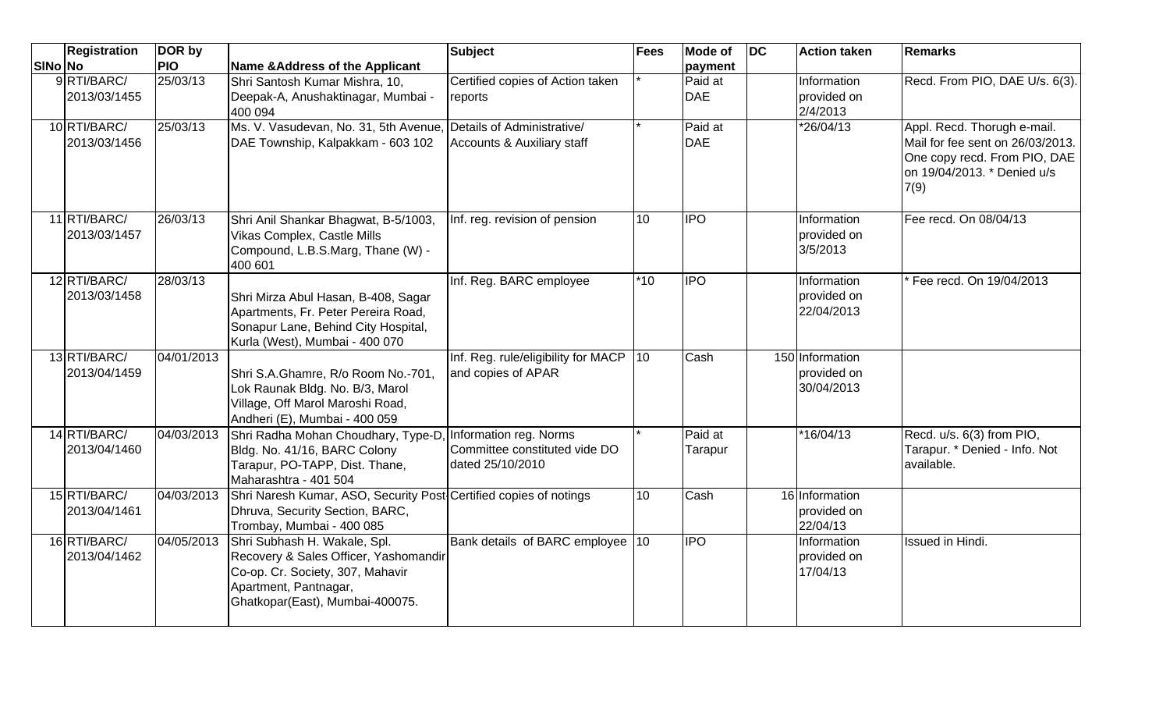|         | <b>Registration</b>          | DOR by     |                                                                                                                                                                       | <b>Subject</b>                                                              | Fees  | Mode of               | $\overline{D}$ | <b>Action taken</b>                          | <b>Remarks</b>                                                                                                                         |
|---------|------------------------------|------------|-----------------------------------------------------------------------------------------------------------------------------------------------------------------------|-----------------------------------------------------------------------------|-------|-----------------------|----------------|----------------------------------------------|----------------------------------------------------------------------------------------------------------------------------------------|
| SINo No |                              | <b>PIO</b> | <b>Name &amp; Address of the Applicant</b>                                                                                                                            |                                                                             |       | payment               |                |                                              |                                                                                                                                        |
|         | 9RTI/BARC/<br>2013/03/1455   | 25/03/13   | Shri Santosh Kumar Mishra, 10,<br>Deepak-A, Anushaktinagar, Mumbai -<br>400 094                                                                                       | Certified copies of Action taken<br>reports                                 |       | Paid at<br><b>DAE</b> |                | Information<br>provided on<br>2/4/2013       | Recd. From PIO, DAE U/s. 6(3).                                                                                                         |
|         | 10 RTI/BARC/<br>2013/03/1456 | 25/03/13   | Ms. V. Vasudevan, No. 31, 5th Avenue, Details of Administrative/<br>DAE Township, Kalpakkam - 603 102                                                                 | Accounts & Auxiliary staff                                                  |       | Paid at<br><b>DAE</b> |                | *26/04/13                                    | Appl. Recd. Thorugh e-mail.<br>Mail for fee sent on 26/03/2013.<br>One copy recd. From PIO, DAE<br>on 19/04/2013. * Denied u/s<br>7(9) |
|         | 11 RTI/BARC/<br>2013/03/1457 | 26/03/13   | Shri Anil Shankar Bhagwat, B-5/1003,<br>Vikas Complex, Castle Mills<br>Compound, L.B.S.Marg, Thane (W) -<br>400 601                                                   | Inf. reg. revision of pension                                               | 10    | <b>IPO</b>            |                | Information<br>provided on<br>3/5/2013       | Fee recd. On 08/04/13                                                                                                                  |
|         | 12 RTI/BARC/<br>2013/03/1458 | 28/03/13   | Shri Mirza Abul Hasan, B-408, Sagar<br>Apartments, Fr. Peter Pereira Road,<br>Sonapur Lane, Behind City Hospital,<br>Kurla (West), Mumbai - 400 070                   | Inf. Reg. BARC employee                                                     | $*10$ | <b>IPO</b>            |                | Information<br>provided on<br>22/04/2013     | Fee recd. On 19/04/2013                                                                                                                |
|         | 13 RTI/BARC/<br>2013/04/1459 | 04/01/2013 | Shri S.A.Ghamre, R/o Room No.-701,<br>Lok Raunak Bldg. No. B/3, Marol<br>Village, Off Marol Maroshi Road,<br>Andheri (E), Mumbai - 400 059                            | Inf. Reg. rule/eligibility for MACP<br>and copies of APAR                   | 10    | Cash                  |                | 150 Information<br>provided on<br>30/04/2013 |                                                                                                                                        |
|         | 14 RTI/BARC/<br>2013/04/1460 | 04/03/2013 | Shri Radha Mohan Choudhary, Type-D.<br>Bldg. No. 41/16, BARC Colony<br>Tarapur, PO-TAPP, Dist. Thane,<br>Maharashtra - 401 504                                        | Information reg. Norms<br>Committee constituted vide DO<br>dated 25/10/2010 |       | Paid at<br>Tarapur    |                | *16/04/13                                    | Recd. u/s. 6(3) from PIO,<br>Tarapur. * Denied - Info. Not<br>available.                                                               |
|         | 15 RTI/BARC/<br>2013/04/1461 | 04/03/2013 | Shri Naresh Kumar, ASO, Security Post Certified copies of notings<br>Dhruva, Security Section, BARC,<br>Trombay, Mumbai - 400 085                                     |                                                                             | 10    | Cash                  |                | 16 Information<br>provided on<br>22/04/13    |                                                                                                                                        |
|         | 16 RTI/BARC/<br>2013/04/1462 | 04/05/2013 | Shri Subhash H. Wakale, Spl.<br>Recovery & Sales Officer, Yashomandir<br>Co-op. Cr. Society, 307, Mahavir<br>Apartment, Pantnagar,<br>Ghatkopar(East), Mumbai-400075. | Bank details of BARC employee 10                                            |       | <b>IPO</b>            |                | Information<br>provided on<br>17/04/13       | Issued in Hindi.                                                                                                                       |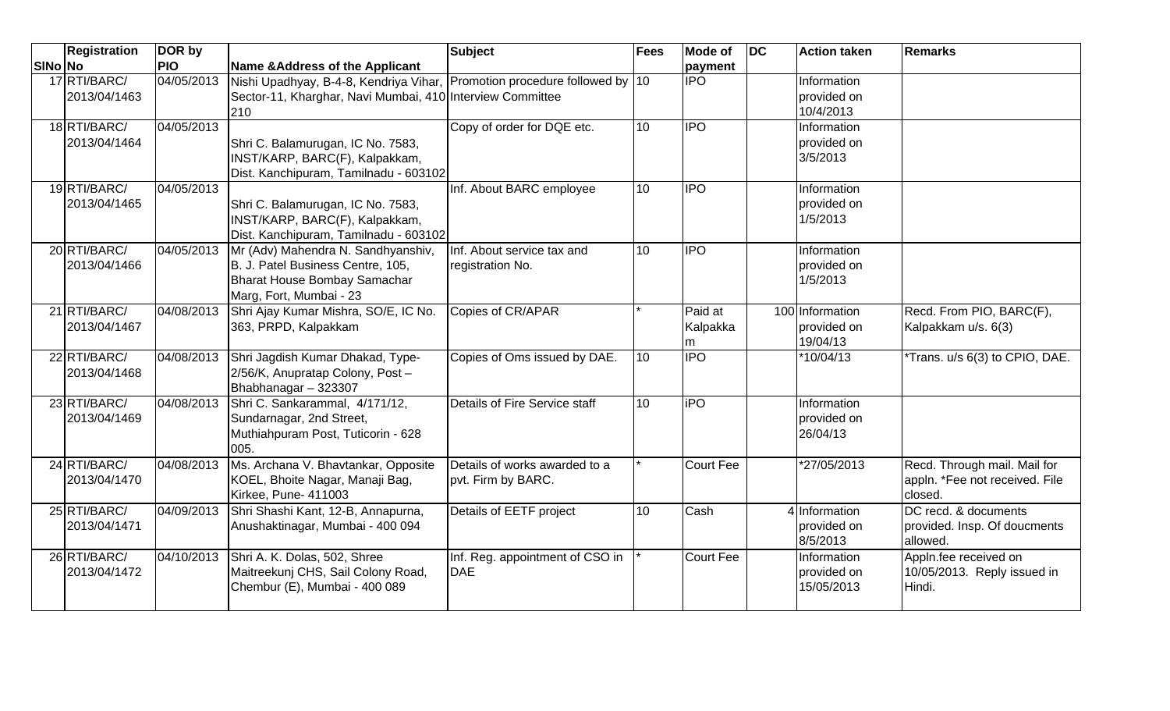|         | <b>Registration</b>          | DOR by     |                                                                                                                                               | <b>Subject</b>                                      | <b>Fees</b>      | <b>Mode of</b>                               | DC | <b>Action taken</b>                        | Remarks                                                                   |
|---------|------------------------------|------------|-----------------------------------------------------------------------------------------------------------------------------------------------|-----------------------------------------------------|------------------|----------------------------------------------|----|--------------------------------------------|---------------------------------------------------------------------------|
| SINo No |                              | <b>PIO</b> | <b>Name &amp; Address of the Applicant</b>                                                                                                    |                                                     |                  | payment                                      |    |                                            |                                                                           |
|         | 17 RTI/BARC/<br>2013/04/1463 | 04/05/2013 | Nishi Upadhyay, B-4-8, Kendriya Vihar, Promotion procedure followed by 10<br>Sector-11, Kharghar, Navi Mumbai, 410 Interview Committee<br>210 |                                                     |                  | <b>IPO</b>                                   |    | Information<br>provided on<br>10/4/2013    |                                                                           |
|         | 18 RTI/BARC/<br>2013/04/1464 | 04/05/2013 | Shri C. Balamurugan, IC No. 7583,<br>INST/KARP, BARC(F), Kalpakkam,<br>Dist. Kanchipuram, Tamilnadu - 603102                                  | Copy of order for DQE etc.                          | 10 <sup>1</sup>  | <b>IPO</b>                                   |    | Information<br>provided on<br>3/5/2013     |                                                                           |
|         | 19 RTI/BARC/<br>2013/04/1465 | 04/05/2013 | Shri C. Balamurugan, IC No. 7583,<br>INST/KARP, BARC(F), Kalpakkam,<br>Dist. Kanchipuram, Tamilnadu - 603102                                  | Inf. About BARC employee                            | $\overline{10}$  | <b>IPO</b>                                   |    | Information<br>provided on<br>1/5/2013     |                                                                           |
|         | 20 RTI/BARC/<br>2013/04/1466 | 04/05/2013 | Mr (Adv) Mahendra N. Sandhyanshiv,<br>B. J. Patel Business Centre, 105,<br>Bharat House Bombay Samachar<br>Marg, Fort, Mumbai - 23            | Inf. About service tax and<br>registration No.      | 10               | $\overline{\overline{\mathsf{P}}\mathsf{O}}$ |    | Information<br>provided on<br>1/5/2013     |                                                                           |
|         | 21 RTI/BARC/<br>2013/04/1467 | 04/08/2013 | Shri Ajay Kumar Mishra, SO/E, IC No.<br>363, PRPD, Kalpakkam                                                                                  | Copies of CR/APAR                                   |                  | Paid at<br>Kalpakka<br>m                     |    | 100 Information<br>provided on<br>19/04/13 | Recd. From PIO, BARC(F),<br>Kalpakkam u/s. 6(3)                           |
|         | 22 RTI/BARC/<br>2013/04/1468 | 04/08/2013 | Shri Jagdish Kumar Dhakad, Type-<br>2/56/K, Anupratap Colony, Post-<br>Bhabhanagar - 323307                                                   | Copies of Oms issued by DAE.                        | 10 <sup>1</sup>  | <b>IPO</b>                                   |    | $*10/04/13$                                | *Trans. u/s 6(3) to CPIO, DAE.                                            |
|         | 23 RTI/BARC/<br>2013/04/1469 | 04/08/2013 | Shri C. Sankarammal, 4/171/12,<br>Sundarnagar, 2nd Street,<br>Muthiahpuram Post, Tuticorin - 628<br>005.                                      | Details of Fire Service staff                       | 10 <sup>10</sup> | <b>iPO</b>                                   |    | Information<br>provided on<br>26/04/13     |                                                                           |
|         | 24 RTI/BARC/<br>2013/04/1470 | 04/08/2013 | Ms. Archana V. Bhavtankar, Opposite<br>KOEL, Bhoite Nagar, Manaji Bag,<br>Kirkee, Pune- 411003                                                | Details of works awarded to a<br>pvt. Firm by BARC. |                  | Court Fee                                    |    | *27/05/2013                                | Recd. Through mail. Mail for<br>appln. *Fee not received. File<br>closed. |
|         | 25 RTI/BARC/<br>2013/04/1471 | 04/09/2013 | Shri Shashi Kant, 12-B, Annapurna,<br>Anushaktinagar, Mumbai - 400 094                                                                        | Details of EETF project                             | 10 <sup>1</sup>  | Cash                                         |    | 4 Information<br>provided on<br>8/5/2013   | DC recd. & documents<br>provided. Insp. Of doucments<br>allowed.          |
|         | 26 RTI/BARC/<br>2013/04/1472 | 04/10/2013 | Shri A. K. Dolas, 502, Shree<br>Maitreekunj CHS, Sail Colony Road,<br>Chembur (E), Mumbai - 400 089                                           | Inf. Reg. appointment of CSO in<br><b>DAE</b>       |                  | Court Fee                                    |    | Information<br>provided on<br>15/05/2013   | Appln.fee received on<br>10/05/2013. Reply issued in<br>Hindi.            |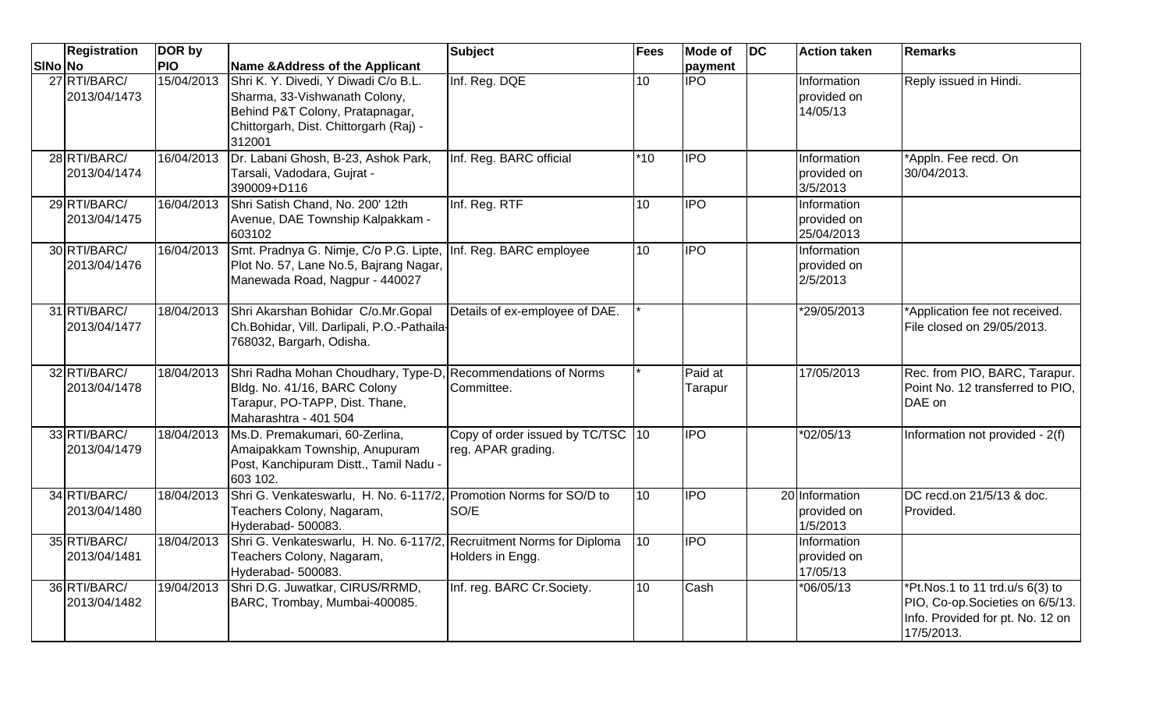|                | <b>Registration</b>          | DOR by     |                                                                                                                                                              | Subject                                                 | <b>Fees</b>     | <b>Mode of</b>     | $\overline{D}$ | <b>Action taken</b>                       | <b>Remarks</b>                                                                                                        |
|----------------|------------------------------|------------|--------------------------------------------------------------------------------------------------------------------------------------------------------------|---------------------------------------------------------|-----------------|--------------------|----------------|-------------------------------------------|-----------------------------------------------------------------------------------------------------------------------|
| <b>SINo No</b> |                              | <b>PIO</b> | <b>Name &amp;Address of the Applicant</b>                                                                                                                    |                                                         |                 | payment            |                |                                           |                                                                                                                       |
|                | 27 RTI/BARC/<br>2013/04/1473 | 15/04/2013 | Shri K. Y. Divedi, Y Diwadi C/o B.L.<br>Sharma, 33-Vishwanath Colony,<br>Behind P&T Colony, Pratapnagar,<br>Chittorgarh, Dist. Chittorgarh (Raj) -<br>312001 | Inf. Reg. DQE                                           | 10              | <b>IPO</b>         |                | Information<br>provided on<br>14/05/13    | Reply issued in Hindi.                                                                                                |
|                | 28 RTI/BARC/<br>2013/04/1474 | 16/04/2013 | Dr. Labani Ghosh, B-23, Ashok Park,<br>Tarsali, Vadodara, Gujrat -<br>390009+D116                                                                            | Inf. Reg. BARC official                                 | $*10$           | <b>IPO</b>         |                | Information<br>provided on<br>3/5/2013    | *Appln. Fee recd. On<br>30/04/2013.                                                                                   |
|                | 29 RTI/BARC/<br>2013/04/1475 | 16/04/2013 | Shri Satish Chand, No. 200' 12th<br>Avenue, DAE Township Kalpakkam -<br>603102                                                                               | Inf. Reg. RTF                                           | 10              | <b>IPO</b>         |                | Information<br>provided on<br>25/04/2013  |                                                                                                                       |
|                | 30 RTI/BARC/<br>2013/04/1476 | 16/04/2013 | Smt. Pradnya G. Nimje, C/o P.G. Lipte, Inf. Reg. BARC employee<br>Plot No. 57, Lane No.5, Bajrang Nagar,<br>Manewada Road, Nagpur - 440027                   |                                                         | 10              | $\overline{IPO}$   |                | Information<br>provided on<br>2/5/2013    |                                                                                                                       |
|                | 31 RTI/BARC/<br>2013/04/1477 | 18/04/2013 | Shri Akarshan Bohidar C/o.Mr.Gopal<br>Ch.Bohidar, Vill. Darlipali, P.O.-Pathaila-<br>768032, Bargarh, Odisha.                                                | Details of ex-employee of DAE.                          |                 |                    |                | *29/05/2013                               | *Application fee not received.<br>File closed on 29/05/2013.                                                          |
|                | 32 RTI/BARC/<br>2013/04/1478 | 18/04/2013 | Shri Radha Mohan Choudhary, Type-D, Recommendations of Norms<br>Bldg. No. 41/16, BARC Colony<br>Tarapur, PO-TAPP, Dist. Thane,<br>Maharashtra - 401 504      | Committee.                                              |                 | Paid at<br>Tarapur |                | 17/05/2013                                | Rec. from PIO, BARC, Tarapur.<br>Point No. 12 transferred to PIO,<br>DAE on                                           |
|                | 33 RTI/BARC/<br>2013/04/1479 | 18/04/2013 | Ms.D. Premakumari, 60-Zerlina,<br>Amaipakkam Township, Anupuram<br>Post, Kanchipuram Distt., Tamil Nadu -<br>603 102.                                        | Copy of order issued by TC/TSC 10<br>reg. APAR grading. |                 | <b>IPO</b>         |                | *02/05/13                                 | Information not provided - 2(f)                                                                                       |
|                | 34 RTI/BARC/<br>2013/04/1480 | 18/04/2013 | Shri G. Venkateswarlu, H. No. 6-117/2, Promotion Norms for SO/D to<br>Teachers Colony, Nagaram,<br>Hyderabad- 500083.                                        | SO/E                                                    | 10              | <b>IPO</b>         |                | 20 Information<br>provided on<br>1/5/2013 | DC recd.on 21/5/13 & doc.<br>Provided.                                                                                |
|                | 35 RTI/BARC/<br>2013/04/1481 | 18/04/2013 | Shri G. Venkateswarlu, H. No. 6-117/2, Recruitment Norms for Diploma<br>Teachers Colony, Nagaram,<br>Hyderabad- 500083.                                      | Holders in Engg.                                        | $\overline{10}$ | <b>IPO</b>         |                | Information<br>provided on<br>17/05/13    |                                                                                                                       |
|                | 36 RTI/BARC/<br>2013/04/1482 | 19/04/2013 | Shri D.G. Juwatkar, CIRUS/RRMD,<br>BARC, Trombay, Mumbai-400085.                                                                                             | Inf. reg. BARC Cr.Society.                              | 10              | Cash               |                | *06/05/13                                 | *Pt.Nos.1 to 11 trd.u/s 6(3) to<br>PIO, Co-op. Societies on 6/5/13.<br>Info. Provided for pt. No. 12 on<br>17/5/2013. |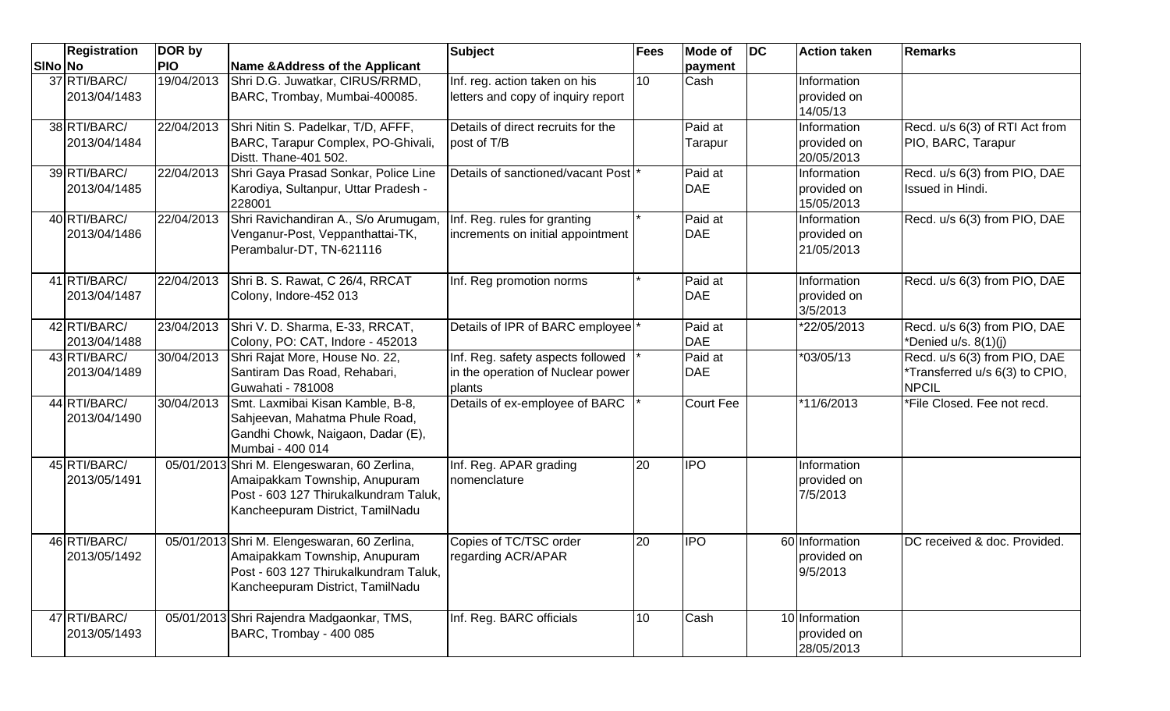|         | <b>Registration</b>          | DOR by     |                                                                                                                                                            | <b>Subject</b>                                                                   | Fees            | <b>Mode of</b>                      | $\overline{D}C$ | <b>Action taken</b>                         | <b>Remarks</b>                                                                 |
|---------|------------------------------|------------|------------------------------------------------------------------------------------------------------------------------------------------------------------|----------------------------------------------------------------------------------|-----------------|-------------------------------------|-----------------|---------------------------------------------|--------------------------------------------------------------------------------|
| SINo No |                              | <b>PIO</b> | Name & Address of the Applicant                                                                                                                            |                                                                                  |                 | payment                             |                 |                                             |                                                                                |
|         | 37 RTI/BARC/<br>2013/04/1483 | 19/04/2013 | Shri D.G. Juwatkar, CIRUS/RRMD,<br>BARC, Trombay, Mumbai-400085.                                                                                           | Inf. reg. action taken on his<br>letters and copy of inquiry report              | 10              | Cash                                |                 | Information<br>provided on<br>14/05/13      |                                                                                |
|         | 38 RTI/BARC/<br>2013/04/1484 | 22/04/2013 | Shri Nitin S. Padelkar, T/D, AFFF,<br>BARC, Tarapur Complex, PO-Ghivali,<br>Distt. Thane-401 502.                                                          | Details of direct recruits for the<br>post of T/B                                |                 | Paid at<br>Tarapur                  |                 | Information<br>provided on<br>20/05/2013    | Recd. u/s 6(3) of RTI Act from<br>PIO, BARC, Tarapur                           |
|         | 39 RTI/BARC/<br>2013/04/1485 | 22/04/2013 | Shri Gaya Prasad Sonkar, Police Line<br>Karodiya, Sultanpur, Uttar Pradesh -<br>228001                                                                     | Details of sanctioned/vacant Post                                                |                 | Paid at<br><b>DAE</b>               |                 | Information<br>provided on<br>15/05/2013    | Recd. u/s 6(3) from PIO, DAE<br>Issued in Hindi.                               |
|         | 40 RTI/BARC/<br>2013/04/1486 | 22/04/2013 | Shri Ravichandiran A., S/o Arumugam,<br>Venganur-Post, Veppanthattai-TK,<br>Perambalur-DT, TN-621116                                                       | Inf. Reg. rules for granting<br>increments on initial appointment                |                 | Paid at<br><b>DAE</b>               |                 | Information<br>provided on<br>21/05/2013    | Recd. u/s 6(3) from PIO, DAE                                                   |
|         | 41 RTI/BARC/<br>2013/04/1487 | 22/04/2013 | Shri B. S. Rawat, C 26/4, RRCAT<br>Colony, Indore-452 013                                                                                                  | Inf. Reg promotion norms                                                         |                 | Paid at<br><b>DAE</b>               |                 | Information<br>provided on<br>3/5/2013      | Recd. u/s 6(3) from PIO, DAE                                                   |
|         | 42 RTI/BARC/<br>2013/04/1488 | 23/04/2013 | Shri V. D. Sharma, E-33, RRCAT,<br>Colony, PO: CAT, Indore - 452013                                                                                        | Details of IPR of BARC employee                                                  |                 | $\overline{P}$ aid at<br><b>DAE</b> |                 | *22/05/2013                                 | Recd. u/s 6(3) from PIO, DAE<br>*Denied u/s. 8(1)(j)                           |
|         | 43 RTI/BARC/<br>2013/04/1489 | 30/04/2013 | Shri Rajat More, House No. 22,<br>Santiram Das Road, Rehabari,<br>Guwahati - 781008                                                                        | Inf. Reg. safety aspects followed<br>in the operation of Nuclear power<br>plants |                 | Paid at<br><b>DAE</b>               |                 | *03/05/13                                   | Recd. u/s 6(3) from PIO, DAE<br>*Transferred u/s 6(3) to CPIO,<br><b>NPCIL</b> |
|         | 44 RTI/BARC/<br>2013/04/1490 | 30/04/2013 | Smt. Laxmibai Kisan Kamble, B-8,<br>Sahjeevan, Mahatma Phule Road,<br>Gandhi Chowk, Naigaon, Dadar (E),<br>Mumbai - 400 014                                | Details of ex-employee of BARC                                                   |                 | <b>Court Fee</b>                    |                 | *11/6/2013                                  | *File Closed. Fee not recd.                                                    |
|         | 45 RTI/BARC/<br>2013/05/1491 |            | 05/01/2013 Shri M. Elengeswaran, 60 Zerlina,<br>Amaipakkam Township, Anupuram<br>Post - 603 127 Thirukalkundram Taluk,<br>Kancheepuram District, TamilNadu | Inf. Reg. APAR grading<br>nomenclature                                           | 20              | <b>IPO</b>                          |                 | Information<br>provided on<br>7/5/2013      |                                                                                |
|         | 46 RTI/BARC/<br>2013/05/1492 |            | 05/01/2013 Shri M. Elengeswaran, 60 Zerlina,<br>Amaipakkam Township, Anupuram<br>Post - 603 127 Thirukalkundram Taluk,<br>Kancheepuram District, TamilNadu | Copies of TC/TSC order<br>regarding ACR/APAR                                     | 20              | <b>IPO</b>                          |                 | 60 Information<br>provided on<br>9/5/2013   | DC received & doc. Provided.                                                   |
|         | 47 RTI/BARC/<br>2013/05/1493 |            | 05/01/2013 Shri Rajendra Madgaonkar, TMS,<br>BARC, Trombay - 400 085                                                                                       | Inf. Reg. BARC officials                                                         | 10 <sup>1</sup> | Cash                                |                 | 10 Information<br>provided on<br>28/05/2013 |                                                                                |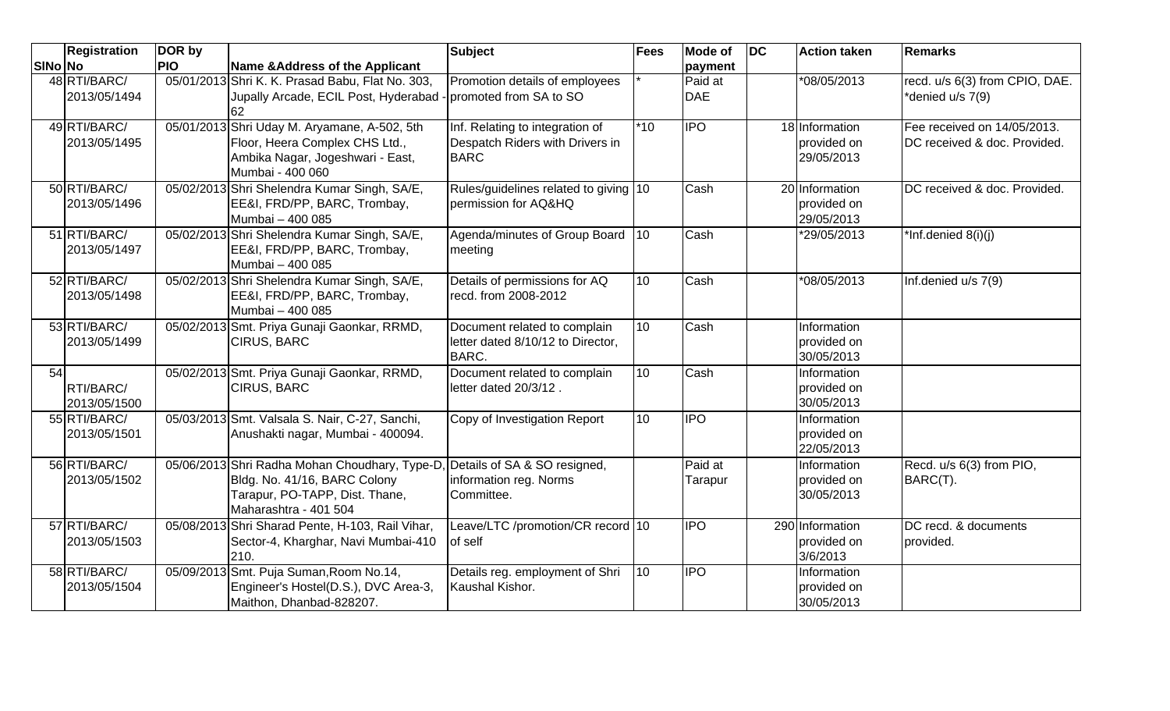|         | <b>Registration</b>          | DOR by     |                                                                                                                                           | <b>Subject</b>                                                                    | <b>Fees</b>     | <b>Mode of</b>                       | $\overline{D}C$ | <b>Action taken</b>                         | <b>Remarks</b>                                              |
|---------|------------------------------|------------|-------------------------------------------------------------------------------------------------------------------------------------------|-----------------------------------------------------------------------------------|-----------------|--------------------------------------|-----------------|---------------------------------------------|-------------------------------------------------------------|
| SINo No |                              | <b>PIO</b> | Name & Address of the Applicant                                                                                                           |                                                                                   |                 | payment                              |                 |                                             |                                                             |
|         | 48 RTI/BARC/<br>2013/05/1494 |            | 05/01/2013 Shri K. K. Prasad Babu, Flat No. 303,<br>Jupally Arcade, ECIL Post, Hyderabad<br>62                                            | Promotion details of employees<br>promoted from SA to SO                          |                 | Paid at<br><b>DAE</b>                |                 | *08/05/2013                                 | recd. u/s 6(3) from CPIO, DAE.<br>*denied u/s 7(9)          |
|         | 49 RTI/BARC/<br>2013/05/1495 |            | 05/01/2013 Shri Uday M. Aryamane, A-502, 5th<br>Floor, Heera Complex CHS Ltd.,<br>Ambika Nagar, Jogeshwari - East,<br>Mumbai - 400 060    | Inf. Relating to integration of<br>Despatch Riders with Drivers in<br><b>BARC</b> | $*10$           | $\overline{\overline{\mathsf{IPO}}}$ |                 | 18 Information<br>provided on<br>29/05/2013 | Fee received on 14/05/2013.<br>DC received & doc. Provided. |
|         | 50 RTI/BARC/<br>2013/05/1496 |            | 05/02/2013 Shri Shelendra Kumar Singh, SA/E,<br>EE&I, FRD/PP, BARC, Trombay,<br>Mumbai - 400 085                                          | Rules/guidelines related to giving 10<br>permission for AQ&HQ                     |                 | Cash                                 |                 | 20 Information<br>provided on<br>29/05/2013 | DC received & doc. Provided.                                |
|         | 51 RTI/BARC/<br>2013/05/1497 |            | 05/02/2013 Shri Shelendra Kumar Singh, SA/E,<br>EE&I, FRD/PP, BARC, Trombay,<br>Mumbai - 400 085                                          | Agenda/minutes of Group Board<br>meeting                                          | $ 10\rangle$    | Cash                                 |                 | *29/05/2013                                 | *Inf.denied $8(i)(j)$                                       |
|         | 52 RTI/BARC/<br>2013/05/1498 |            | 05/02/2013 Shri Shelendra Kumar Singh, SA/E,<br>EE&I, FRD/PP, BARC, Trombay,<br>Mumbai - 400 085                                          | Details of permissions for AQ<br>recd. from 2008-2012                             | 10 <sup>1</sup> | Cash                                 |                 | *08/05/2013                                 | Inf.denied u/s 7(9)                                         |
|         | 53 RTI/BARC/<br>2013/05/1499 |            | 05/02/2013 Smt. Priya Gunaji Gaonkar, RRMD,<br><b>CIRUS, BARC</b>                                                                         | Document related to complain<br>letter dated 8/10/12 to Director,<br><b>BARC.</b> | 10 <sup>1</sup> | Cash                                 |                 | Information<br>provided on<br>30/05/2013    |                                                             |
| 54      | RTI/BARC/<br>2013/05/1500    |            | 05/02/2013 Smt. Priya Gunaji Gaonkar, RRMD,<br><b>CIRUS, BARC</b>                                                                         | Document related to complain<br>letter dated 20/3/12.                             | 10              | Cash                                 |                 | Information<br>provided on<br>30/05/2013    |                                                             |
|         | 55 RTI/BARC/<br>2013/05/1501 |            | 05/03/2013 Smt. Valsala S. Nair, C-27, Sanchi,<br>Anushakti nagar, Mumbai - 400094.                                                       | Copy of Investigation Report                                                      | 10              | <b>IPO</b>                           |                 | Information<br>provided on<br>22/05/2013    |                                                             |
|         | 56 RTI/BARC/<br>2013/05/1502 |            | 05/06/2013 Shri Radha Mohan Choudhary, Type-D,<br>Bldg. No. 41/16, BARC Colony<br>Tarapur, PO-TAPP, Dist. Thane,<br>Maharashtra - 401 504 | Details of SA & SO resigned,<br>information reg. Norms<br>Committee.              |                 | Paid at<br>Tarapur                   |                 | Information<br>provided on<br>30/05/2013    | Recd. u/s 6(3) from PIO,<br>BARC(T).                        |
|         | 57 RTI/BARC/<br>2013/05/1503 |            | 05/08/2013 Shri Sharad Pente, H-103, Rail Vihar,<br>Sector-4, Kharghar, Navi Mumbai-410<br>210.                                           | Leave/LTC /promotion/CR record 10<br>of self                                      |                 | <b>IPO</b>                           |                 | 290 Information<br>provided on<br>3/6/2013  | DC recd. & documents<br>provided.                           |
|         | 58 RTI/BARC/<br>2013/05/1504 |            | 05/09/2013 Smt. Puja Suman, Room No.14,<br>Engineer's Hostel(D.S.), DVC Area-3,<br>Maithon, Dhanbad-828207.                               | Details reg. employment of Shri<br>Kaushal Kishor.                                | 10              | <b>IPO</b>                           |                 | Information<br>provided on<br>30/05/2013    |                                                             |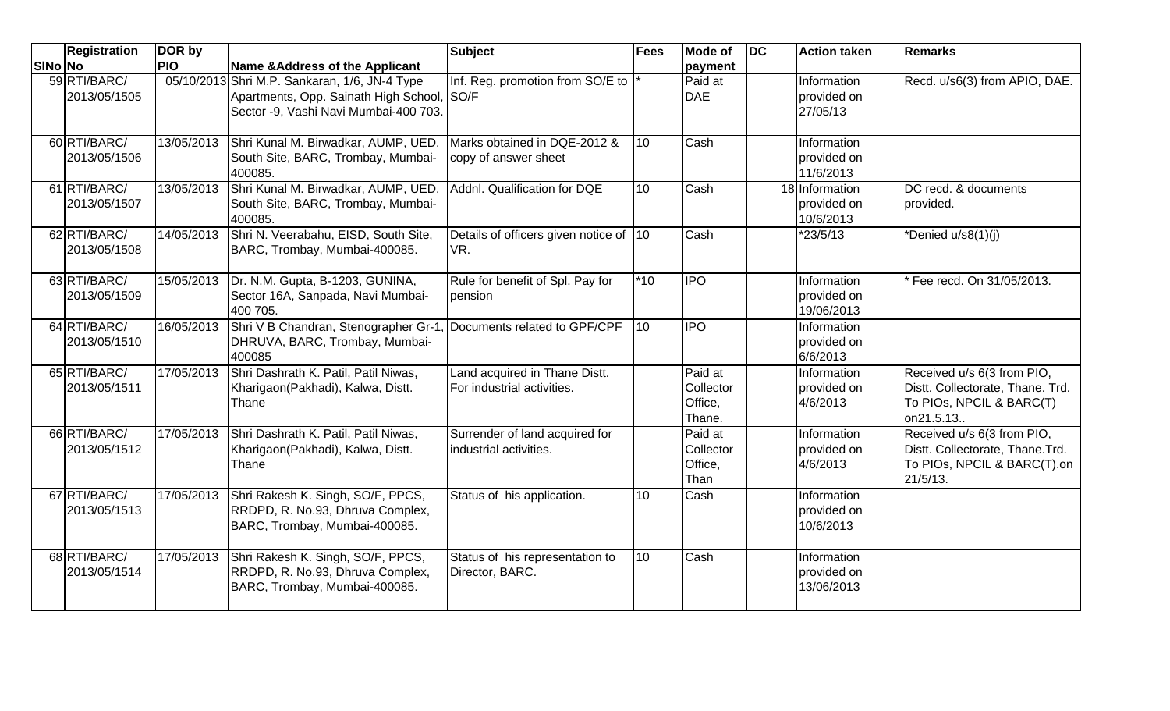|                | <b>Registration</b>          | DOR by     |                                                                                                                                      | <b>Subject</b>                                              | <b>Fees</b>     | <b>Mode of</b>                            | $\overline{D}C$ | <b>Action taken</b>                        | <b>Remarks</b>                                                                                              |
|----------------|------------------------------|------------|--------------------------------------------------------------------------------------------------------------------------------------|-------------------------------------------------------------|-----------------|-------------------------------------------|-----------------|--------------------------------------------|-------------------------------------------------------------------------------------------------------------|
| <b>SINO NO</b> |                              | <b>PIO</b> | Name & Address of the Applicant                                                                                                      |                                                             |                 | payment                                   |                 |                                            |                                                                                                             |
|                | 59 RTI/BARC/<br>2013/05/1505 |            | 05/10/2013 Shri M.P. Sankaran, 1/6, JN-4 Type<br>Apartments, Opp. Sainath High School, SO/F<br>Sector -9, Vashi Navi Mumbai-400 703. | Inf. Reg. promotion from SO/E to                            |                 | Paid at<br><b>DAE</b>                     |                 | Information<br>provided on<br>27/05/13     | Recd. u/s6(3) from APIO, DAE.                                                                               |
|                | 60 RTI/BARC/<br>2013/05/1506 | 13/05/2013 | Shri Kunal M. Birwadkar, AUMP, UED,<br>South Site, BARC, Trombay, Mumbai-<br>400085.                                                 | Marks obtained in DQE-2012 &<br>copy of answer sheet        | 10              | Cash                                      |                 | Information<br>provided on<br>11/6/2013    |                                                                                                             |
|                | 61 RTI/BARC/<br>2013/05/1507 | 13/05/2013 | Shri Kunal M. Birwadkar, AUMP, UED,<br>South Site, BARC, Trombay, Mumbai-<br>400085.                                                 | Addnl. Qualification for DQE                                | 10 <sup>1</sup> | Cash                                      |                 | 18 Information<br>provided on<br>10/6/2013 | DC recd. & documents<br>provided.                                                                           |
|                | 62 RTI/BARC/<br>2013/05/1508 | 14/05/2013 | Shri N. Veerabahu, EISD, South Site,<br>BARC, Trombay, Mumbai-400085.                                                                | Details of officers given notice of 10<br>VR.               |                 | Cash                                      |                 | *23/5/13                                   | *Denied u/s8(1)(j)                                                                                          |
|                | 63 RTI/BARC/<br>2013/05/1509 | 15/05/2013 | Dr. N.M. Gupta, B-1203, GUNINA,<br>Sector 16A, Sanpada, Navi Mumbai-<br>400 705.                                                     | Rule for benefit of Spl. Pay for<br>pension                 | $*10$           | <b>IPO</b>                                |                 | Information<br>provided on<br>19/06/2013   | Fee recd. On 31/05/2013.                                                                                    |
|                | 64 RTI/BARC/<br>2013/05/1510 | 16/05/2013 | Shri V B Chandran, Stenographer Gr-1<br>DHRUVA, BARC, Trombay, Mumbai-<br>400085                                                     | Documents related to GPF/CPF                                | 10              | <b>IPO</b>                                |                 | Information<br>provided on<br>6/6/2013     |                                                                                                             |
|                | 65 RTI/BARC/<br>2013/05/1511 | 17/05/2013 | Shri Dashrath K. Patil, Patil Niwas,<br>Kharigaon(Pakhadi), Kalwa, Distt.<br>Thane                                                   | Land acquired in Thane Distt.<br>For industrial activities. |                 | Paid at<br>Collector<br>Office,<br>Thane. |                 | Information<br>provided on<br>4/6/2013     | Received u/s 6(3 from PIO,<br>Distt. Collectorate, Thane. Trd.<br>To PIOs, NPCIL & BARC(T)<br>on21.5.13.    |
|                | 66 RTI/BARC/<br>2013/05/1512 | 17/05/2013 | Shri Dashrath K. Patil, Patil Niwas,<br>Kharigaon (Pakhadi), Kalwa, Distt.<br>Thane                                                  | Surrender of land acquired for<br>industrial activities.    |                 | Paid at<br>Collector<br>Office,<br>Than   |                 | Information<br>provided on<br>4/6/2013     | Received u/s 6(3 from PIO,<br>Distt. Collectorate, Thane.Trd.<br>To PIOs, NPCIL & BARC(T).on<br>$21/5/13$ . |
|                | 67 RTI/BARC/<br>2013/05/1513 | 17/05/2013 | Shri Rakesh K. Singh, SO/F, PPCS,<br>RRDPD, R. No.93, Dhruva Complex,<br>BARC, Trombay, Mumbai-400085.                               | Status of his application.                                  | 10              | Cash                                      |                 | Information<br>provided on<br>10/6/2013    |                                                                                                             |
|                | 68 RTI/BARC/<br>2013/05/1514 | 17/05/2013 | Shri Rakesh K. Singh, SO/F, PPCS,<br>RRDPD, R. No.93, Dhruva Complex,<br>BARC, Trombay, Mumbai-400085.                               | Status of his representation to<br>Director, BARC.          | 10              | Cash                                      |                 | Information<br>provided on<br>13/06/2013   |                                                                                                             |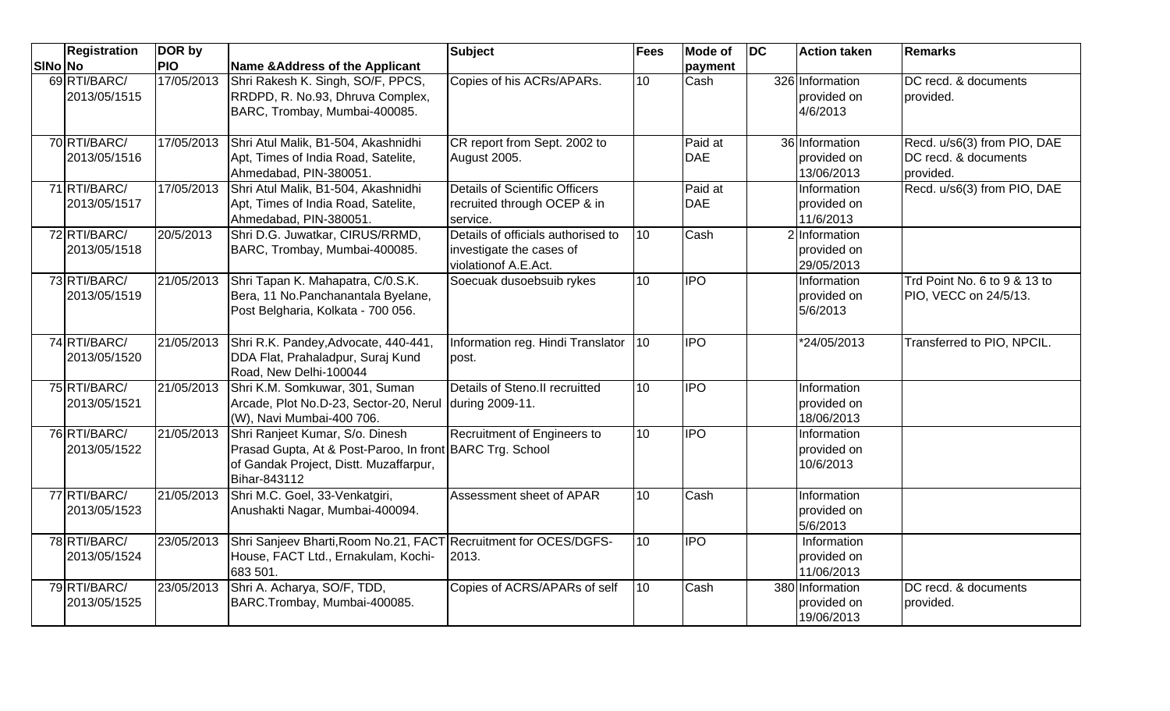|              | <b>Registration</b> | DOR by     |                                                                                                                                                       | <b>Subject</b>                                                                         | Fees | Mode of               | $\overline{D}$ | <b>Action taken</b>                          | <b>Remarks</b>                                                   |
|--------------|---------------------|------------|-------------------------------------------------------------------------------------------------------------------------------------------------------|----------------------------------------------------------------------------------------|------|-----------------------|----------------|----------------------------------------------|------------------------------------------------------------------|
| SINo No      |                     | <b>PIO</b> | <b>Name &amp;Address of the Applicant</b>                                                                                                             |                                                                                        |      | payment               |                |                                              |                                                                  |
| 69 RTI/BARC/ | 2013/05/1515        | 17/05/2013 | Shri Rakesh K. Singh, SO/F, PPCS,<br>RRDPD, R. No.93, Dhruva Complex,<br>BARC, Trombay, Mumbai-400085.                                                | Copies of his ACRs/APARs.                                                              | 10   | Cash                  |                | 326 Information<br>provided on<br>4/6/2013   | DC recd. & documents<br>provided.                                |
| 70 RTI/BARC/ | 2013/05/1516        | 17/05/2013 | Shri Atul Malik, B1-504, Akashnidhi<br>Apt, Times of India Road, Satelite,<br>Ahmedabad, PIN-380051                                                   | CR report from Sept. 2002 to<br>August 2005.                                           |      | Paid at<br><b>DAE</b> |                | 36 Information<br>provided on<br>13/06/2013  | Recd. u/s6(3) from PIO, DAE<br>DC recd. & documents<br>provided. |
| 71 RTI/BARC/ | 2013/05/1517        | 17/05/2013 | Shri Atul Malik, B1-504, Akashnidhi<br>Apt, Times of India Road, Satelite,<br>Ahmedabad, PIN-380051.                                                  | <b>Details of Scientific Officers</b><br>recruited through OCEP & in<br>service.       |      | Paid at<br><b>DAE</b> |                | Information<br>provided on<br>11/6/2013      | Recd. u/s6(3) from PIO, DAE                                      |
| 72 RTI/BARC/ | 2013/05/1518        | 20/5/2013  | Shri D.G. Juwatkar, CIRUS/RRMD,<br>BARC, Trombay, Mumbai-400085.                                                                                      | Details of officials authorised to<br>investigate the cases of<br>violationof A.E.Act. | 10   | Cash                  |                | 2 Information<br>provided on<br>29/05/2013   |                                                                  |
| 73 RTI/BARC/ | 2013/05/1519        | 21/05/2013 | Shri Tapan K. Mahapatra, C/0.S.K.<br>Bera, 11 No. Panchanantala Byelane,<br>Post Belgharia, Kolkata - 700 056.                                        | Soecuak dusoebsuib rykes                                                               | 10   | <b>IPO</b>            |                | Information<br>provided on<br>5/6/2013       | Trd Point No. 6 to 9 & 13 to<br>PIO, VECC on 24/5/13.            |
| 74 RTI/BARC/ | 2013/05/1520        | 21/05/2013 | Shri R.K. Pandey, Advocate, 440-441,<br>DDA Flat, Prahaladpur, Suraj Kund<br>Road, New Delhi-100044                                                   | Information reg. Hindi Translator 10<br>post.                                          |      | <b>IPO</b>            |                | $\sqrt[3]{24/05/2013}$                       | Transferred to PIO, NPCIL.                                       |
| 75 RTI/BARC/ | 2013/05/1521        | 21/05/2013 | Shri K.M. Somkuwar, 301, Suman<br>Arcade, Plot No.D-23, Sector-20, Nerul<br>(W), Navi Mumbai-400 706.                                                 | Details of Steno.II recruitted<br>during 2009-11.                                      | 10   | <b>IPO</b>            |                | Information<br>provided on<br>18/06/2013     |                                                                  |
| 76 RTI/BARC/ | 2013/05/1522        | 21/05/2013 | Shri Ranjeet Kumar, S/o. Dinesh<br>Prasad Gupta, At & Post-Paroo, In front BARC Trg. School<br>of Gandak Project, Distt. Muzaffarpur,<br>Bihar-843112 | Recruitment of Engineers to                                                            | 10   | <b>IPO</b>            |                | Information<br>provided on<br>10/6/2013      |                                                                  |
| 77 RTI/BARC/ | 2013/05/1523        | 21/05/2013 | Shri M.C. Goel, 33-Venkatgiri,<br>Anushakti Nagar, Mumbai-400094.                                                                                     | Assessment sheet of APAR                                                               | 10   | Cash                  |                | Information<br>provided on<br>5/6/2013       |                                                                  |
| 78 RTI/BARC/ | 2013/05/1524        | 23/05/2013 | Shri Sanjeev Bharti, Room No.21, FACT Recruitment for OCES/DGFS-<br>House, FACT Ltd., Ernakulam, Kochi-<br>683 501.                                   | 2013.                                                                                  | 10   | <b>IPO</b>            |                | Information<br>provided on<br>11/06/2013     |                                                                  |
| 79 RTI/BARC/ | 2013/05/1525        | 23/05/2013 | Shri A. Acharya, SO/F, TDD,<br>BARC.Trombay, Mumbai-400085.                                                                                           | Copies of ACRS/APARs of self                                                           | 10   | Cash                  |                | 380 Information<br>provided on<br>19/06/2013 | DC recd. & documents<br>provided.                                |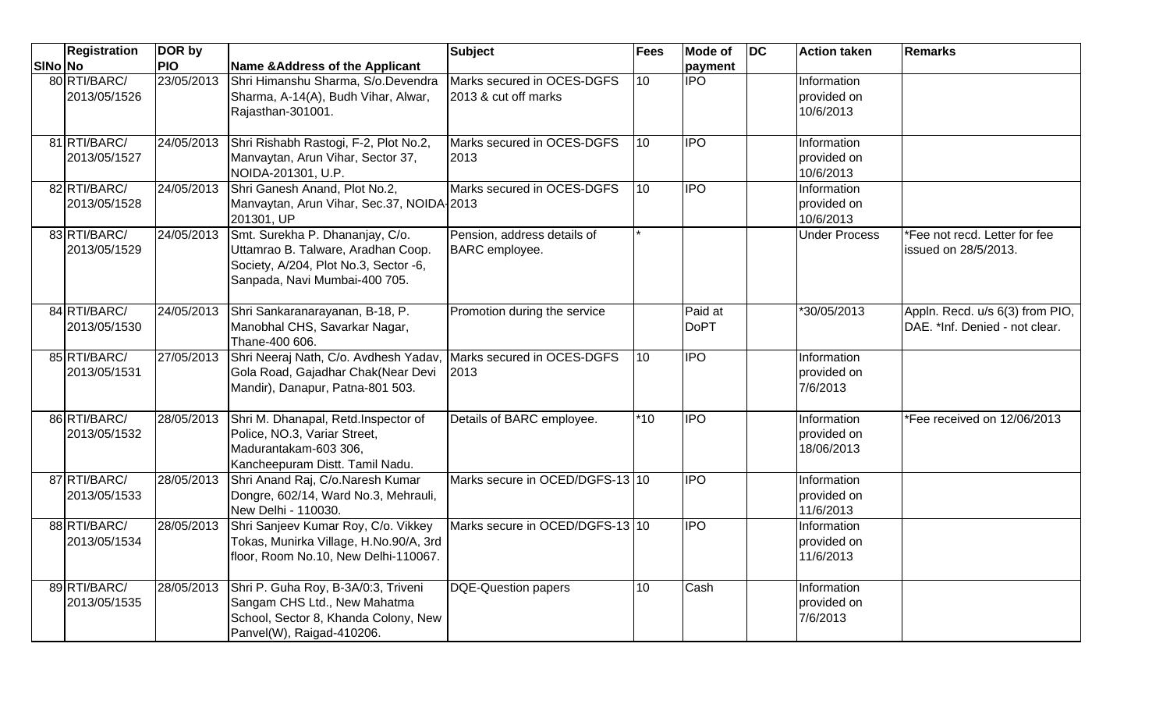|         | <b>Registration</b>          | DOR by     |                                                                                                                                                 | <b>Subject</b>                                     | <b>Fees</b>      | <b>Mode of</b>         | <b>DC</b> | <b>Action taken</b>                      | <b>Remarks</b>                                                    |
|---------|------------------------------|------------|-------------------------------------------------------------------------------------------------------------------------------------------------|----------------------------------------------------|------------------|------------------------|-----------|------------------------------------------|-------------------------------------------------------------------|
| SINo No |                              | <b>PIO</b> | <b>Name &amp; Address of the Applicant</b>                                                                                                      |                                                    |                  | payment                |           |                                          |                                                                   |
|         | 80 RTI/BARC/<br>2013/05/1526 | 23/05/2013 | Shri Himanshu Sharma, S/o.Devendra<br>Sharma, A-14(A), Budh Vihar, Alwar,<br>Rajasthan-301001.                                                  | Marks secured in OCES-DGFS<br>2013 & cut off marks | 10 <sup>10</sup> | <b>IPO</b>             |           | Information<br>provided on<br>10/6/2013  |                                                                   |
|         | 81 RTI/BARC/<br>2013/05/1527 | 24/05/2013 | Shri Rishabh Rastogi, F-2, Plot No.2,<br>Manvaytan, Arun Vihar, Sector 37,<br>NOIDA-201301, U.P.                                                | Marks secured in OCES-DGFS<br>2013                 | 10               | <b>IPO</b>             |           | Information<br>provided on<br>10/6/2013  |                                                                   |
|         | 82 RTI/BARC/<br>2013/05/1528 | 24/05/2013 | Shri Ganesh Anand, Plot No.2,<br>Manvaytan, Arun Vihar, Sec.37, NOIDA-2013<br>201301, UP                                                        | Marks secured in OCES-DGFS                         | 10 <sup>1</sup>  | <b>IPO</b>             |           | Information<br>provided on<br>10/6/2013  |                                                                   |
|         | 83 RTI/BARC/<br>2013/05/1529 | 24/05/2013 | Smt. Surekha P. Dhananjay, C/o.<br>Uttamrao B. Talware, Aradhan Coop.<br>Society, A/204, Plot No.3, Sector -6,<br>Sanpada, Navi Mumbai-400 705. | Pension, address details of<br>BARC employee.      |                  |                        |           | <b>Under Process</b>                     | *Fee not recd. Letter for fee<br>issued on 28/5/2013.             |
|         | 84 RTI/BARC/<br>2013/05/1530 | 24/05/2013 | Shri Sankaranarayanan, B-18, P.<br>Manobhal CHS, Savarkar Nagar,<br>Thane-400 606.                                                              | Promotion during the service                       |                  | Paid at<br><b>DoPT</b> |           | *30/05/2013                              | Appln. Recd. u/s 6(3) from PIO,<br>DAE, *Inf. Denied - not clear. |
|         | 85 RTI/BARC/<br>2013/05/1531 | 27/05/2013 | Shri Neeraj Nath, C/o. Avdhesh Yadav,<br>Gola Road, Gajadhar Chak(Near Devi<br>Mandir), Danapur, Patna-801 503.                                 | Marks secured in OCES-DGFS<br>2013                 | 10 <sup>1</sup>  | <b>IPO</b>             |           | Information<br>provided on<br>7/6/2013   |                                                                   |
|         | 86 RTI/BARC/<br>2013/05/1532 | 28/05/2013 | Shri M. Dhanapal, Retd.Inspector of<br>Police, NO.3, Variar Street,<br>Madurantakam-603 306,<br>Kancheepuram Distt. Tamil Nadu.                 | Details of BARC employee.                          | $*10$            | <b>IPO</b>             |           | Information<br>provided on<br>18/06/2013 | *Fee received on 12/06/2013                                       |
|         | 87 RTI/BARC/<br>2013/05/1533 | 28/05/2013 | Shri Anand Raj, C/o.Naresh Kumar<br>Dongre, 602/14, Ward No.3, Mehrauli,<br>New Delhi - 110030.                                                 | Marks secure in OCED/DGFS-13 10                    |                  | <b>IPO</b>             |           | Information<br>provided on<br>11/6/2013  |                                                                   |
|         | 88 RTI/BARC/<br>2013/05/1534 | 28/05/2013 | Shri Sanjeev Kumar Roy, C/o. Vikkey<br>Tokas, Munirka Village, H.No.90/A, 3rd<br>floor, Room No.10, New Delhi-110067.                           | Marks secure in OCED/DGFS-13 10                    |                  | <b>IPO</b>             |           | Information<br>provided on<br>11/6/2013  |                                                                   |
|         | 89 RTI/BARC/<br>2013/05/1535 | 28/05/2013 | Shri P. Guha Roy, B-3A/0:3, Triveni<br>Sangam CHS Ltd., New Mahatma<br>School, Sector 8, Khanda Colony, New<br>Panvel(W), Raigad-410206.        | <b>DQE-Question papers</b>                         | 10               | Cash                   |           | Information<br>provided on<br>7/6/2013   |                                                                   |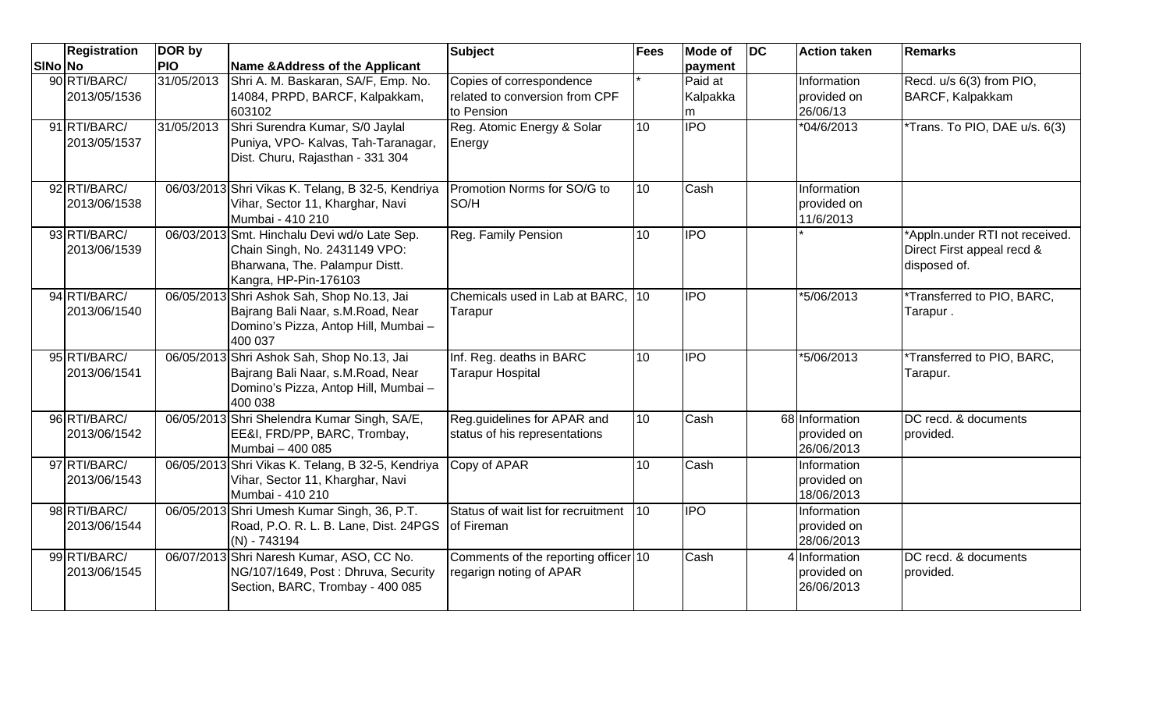|                | <b>Registration</b>          | DOR by     |                                                                                                                                          | <b>Subject</b>                                                           | <b>Fees</b>  | Mode of                  | <b>DC</b> | <b>Action taken</b>                         | Remarks                                                                      |
|----------------|------------------------------|------------|------------------------------------------------------------------------------------------------------------------------------------------|--------------------------------------------------------------------------|--------------|--------------------------|-----------|---------------------------------------------|------------------------------------------------------------------------------|
| <b>SINo No</b> |                              | <b>PIO</b> | Name & Address of the Applicant                                                                                                          |                                                                          |              | payment                  |           |                                             |                                                                              |
|                | 90 RTI/BARC/<br>2013/05/1536 | 31/05/2013 | Shri A. M. Baskaran, SA/F, Emp. No.<br>14084, PRPD, BARCF, Kalpakkam,<br>603102                                                          | Copies of correspondence<br>related to conversion from CPF<br>to Pension |              | Paid at<br>Kalpakka<br>m |           | Information<br>provided on<br>26/06/13      | Recd. u/s 6(3) from PIO,<br><b>BARCF, Kalpakkam</b>                          |
|                | 91 RTI/BARC/<br>2013/05/1537 | 31/05/2013 | Shri Surendra Kumar, S/0 Jaylal<br>Puniya, VPO- Kalvas, Tah-Taranagar,<br>Dist. Churu, Rajasthan - 331 304                               | Reg. Atomic Energy & Solar<br>Energy                                     | 10           | <b>IPO</b>               |           | *04/6/2013                                  | *Trans. To PIO, DAE u/s. 6(3)                                                |
|                | 92 RTI/BARC/<br>2013/06/1538 |            | 06/03/2013 Shri Vikas K. Telang, B 32-5, Kendriya<br>Vihar, Sector 11, Kharghar, Navi<br>Mumbai - 410 210                                | Promotion Norms for SO/G to<br>SO/H                                      | 10           | Cash                     |           | Information<br>provided on<br>11/6/2013     |                                                                              |
|                | 93 RTI/BARC/<br>2013/06/1539 |            | 06/03/2013 Smt. Hinchalu Devi wd/o Late Sep.<br>Chain Singh, No. 2431149 VPO:<br>Bharwana, The. Palampur Distt.<br>Kangra, HP-Pin-176103 | Reg. Family Pension                                                      | 10           | <b>IPO</b>               |           |                                             | *Appln.under RTI not received.<br>Direct First appeal recd &<br>disposed of. |
|                | 94 RTI/BARC/<br>2013/06/1540 |            | 06/05/2013 Shri Ashok Sah, Shop No.13, Jai<br>Bajrang Bali Naar, s.M.Road, Near<br>Domino's Pizza, Antop Hill, Mumbai -<br>400 037       | Chemicals used in Lab at BARC, 10<br>Tarapur                             |              | <b>IPO</b>               |           | *5/06/2013                                  | *Transferred to PIO, BARC,<br>Tarapur.                                       |
|                | 95 RTI/BARC/<br>2013/06/1541 |            | 06/05/2013 Shri Ashok Sah, Shop No.13, Jai<br>Bajrang Bali Naar, s.M.Road, Near<br>Domino's Pizza, Antop Hill, Mumbai -<br>400 038       | Inf. Reg. deaths in BARC<br><b>Tarapur Hospital</b>                      | 10           | <b>IPO</b>               |           | *5/06/2013                                  | *Transferred to PIO, BARC,<br>Tarapur.                                       |
|                | 96 RTI/BARC/<br>2013/06/1542 |            | 06/05/2013 Shri Shelendra Kumar Singh, SA/E,<br>EE&I, FRD/PP, BARC, Trombay,<br>Mumbai - 400 085                                         | Reg.guidelines for APAR and<br>status of his representations             | 10           | Cash                     |           | 68 Information<br>provided on<br>26/06/2013 | DC recd. & documents<br>provided.                                            |
|                | 97 RTI/BARC/<br>2013/06/1543 |            | 06/05/2013 Shri Vikas K. Telang, B 32-5, Kendriya<br>Vihar, Sector 11, Kharghar, Navi<br>Mumbai - 410 210                                | Copy of APAR                                                             | 10           | Cash                     |           | Information<br>provided on<br>18/06/2013    |                                                                              |
|                | 98 RTI/BARC/<br>2013/06/1544 |            | 06/05/2013 Shri Umesh Kumar Singh, 36, P.T.<br>Road, P.O. R. L. B. Lane, Dist. 24PGS<br>$(N) - 743194$                                   | Status of wait list for recruitment<br>of Fireman                        | $ 10\rangle$ | <b>I</b> IPO             |           | Information<br>provided on<br>28/06/2013    |                                                                              |
|                | 99 RTI/BARC/<br>2013/06/1545 |            | 06/07/2013 Shri Naresh Kumar, ASO, CC No.<br>NG/107/1649, Post: Dhruva, Security<br>Section, BARC, Trombay - 400 085                     | Comments of the reporting officer 10<br>regarign noting of APAR          |              | Cash                     |           | 4 Information<br>provided on<br>26/06/2013  | DC recd. & documents<br>provided.                                            |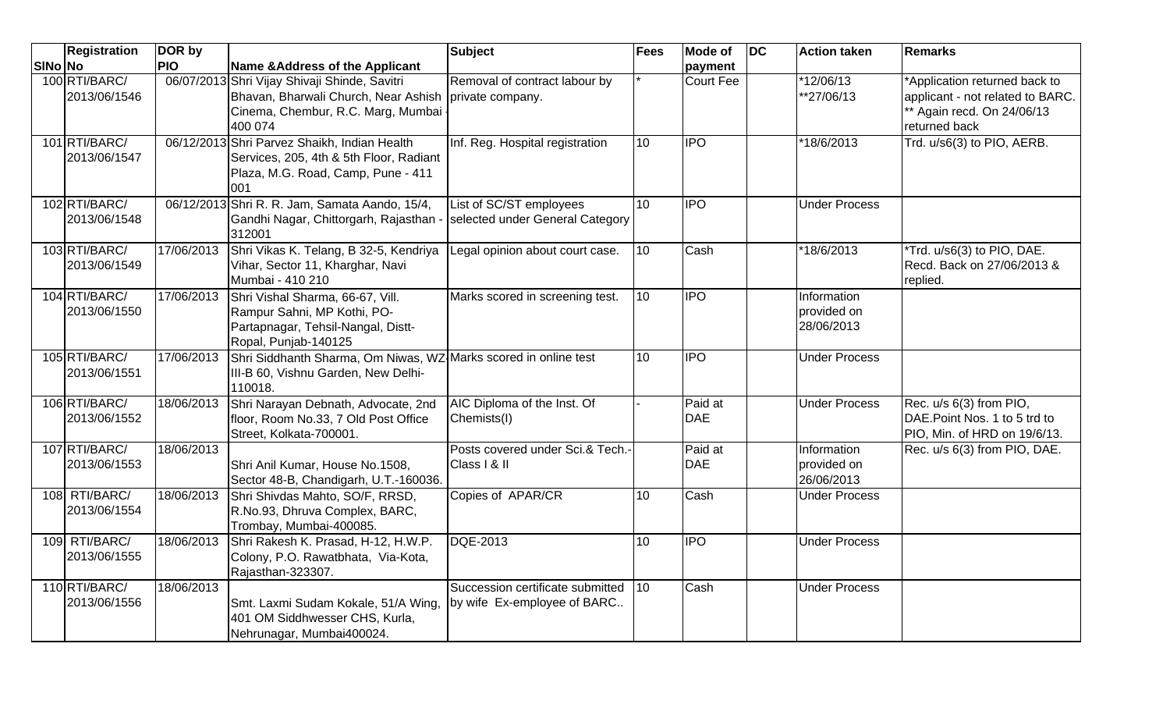|         | <b>Registration</b>           | DOR by     |                                                                                                                                        | Subject                                                         | Fees            | <b>Mode of</b>        | $\overline{D}C$ | <b>Action taken</b>                      | <b>Remarks</b>                                                                                                  |
|---------|-------------------------------|------------|----------------------------------------------------------------------------------------------------------------------------------------|-----------------------------------------------------------------|-----------------|-----------------------|-----------------|------------------------------------------|-----------------------------------------------------------------------------------------------------------------|
| SINo No |                               | <b>PIO</b> | <b>Name &amp;Address of the Applicant</b>                                                                                              |                                                                 |                 | payment               |                 |                                          |                                                                                                                 |
|         | 100 RTI/BARC/<br>2013/06/1546 |            | 06/07/2013 Shri Vijay Shivaji Shinde, Savitri<br>Bhavan, Bharwali Church, Near Ashish<br>Cinema, Chembur, R.C. Marg, Mumbai<br>400 074 | Removal of contract labour by<br>private company.               |                 | Court Fee             |                 | *12/06/13<br>**27/06/13                  | *Application returned back to<br>applicant - not related to BARC.<br>* Again recd. On 24/06/13<br>returned back |
|         | 101 RTI/BARC/<br>2013/06/1547 |            | 06/12/2013 Shri Parvez Shaikh, Indian Health<br>Services, 205, 4th & 5th Floor, Radiant<br>Plaza, M.G. Road, Camp, Pune - 411<br>001   | Inf. Reg. Hospital registration                                 | 10              | <b>IPO</b>            |                 | *18/6/2013                               | Trd. u/s6(3) to PIO, AERB.                                                                                      |
|         | 102 RTI/BARC/<br>2013/06/1548 |            | 06/12/2013 Shri R. R. Jam, Samata Aando, 15/4,<br>Gandhi Nagar, Chittorgarh, Rajasthan -<br>312001                                     | List of SC/ST employees<br>selected under General Category      | 10              | <b>IPO</b>            |                 | <b>Under Process</b>                     |                                                                                                                 |
|         | 103 RTI/BARC/<br>2013/06/1549 | 17/06/2013 | Shri Vikas K. Telang, B 32-5, Kendriya<br>Vihar, Sector 11, Kharghar, Navi<br>Mumbai - 410 210                                         | Legal opinion about court case.                                 | 10              | Cash                  |                 | *18/6/2013                               | *Trd. u/s6(3) to PIO, DAE.<br>Recd. Back on 27/06/2013 &<br>replied.                                            |
|         | 104 RTI/BARC/<br>2013/06/1550 | 17/06/2013 | Shri Vishal Sharma, 66-67, Vill.<br>Rampur Sahni, MP Kothi, PO-<br>Partapnagar, Tehsil-Nangal, Distt-<br>Ropal, Punjab-140125          | Marks scored in screening test.                                 | 10              | <b>IPO</b>            |                 | Information<br>provided on<br>28/06/2013 |                                                                                                                 |
|         | 105 RTI/BARC/<br>2013/06/1551 | 17/06/2013 | Shri Siddhanth Sharma, Om Niwas, WZ Marks scored in online test<br>III-B 60, Vishnu Garden, New Delhi-<br>110018.                      |                                                                 | 10 <sup>1</sup> | <b>IPO</b>            |                 | <b>Under Process</b>                     |                                                                                                                 |
|         | 106 RTI/BARC/<br>2013/06/1552 | 18/06/2013 | Shri Narayan Debnath, Advocate, 2nd<br>floor, Room No.33, 7 Old Post Office<br>Street, Kolkata-700001.                                 | AIC Diploma of the Inst. Of<br>Chemists(I)                      |                 | Paid at<br><b>DAE</b> |                 | <b>Under Process</b>                     | Rec. u/s 6(3) from PIO,<br>DAE.Point Nos. 1 to 5 trd to<br>PIO, Min. of HRD on 19/6/13.                         |
|         | 107 RTI/BARC/<br>2013/06/1553 | 18/06/2013 | Shri Anil Kumar, House No.1508,<br>Sector 48-B, Chandigarh, U.T.-160036.                                                               | Posts covered under Sci.& Tech.-<br>Class   & II                |                 | Paid at<br><b>DAE</b> |                 | Information<br>provided on<br>26/06/2013 | Rec. u/s 6(3) from PIO, DAE.                                                                                    |
|         | 108 RTI/BARC/<br>2013/06/1554 | 18/06/2013 | Shri Shivdas Mahto, SO/F, RRSD,<br>R.No.93, Dhruva Complex, BARC,<br>Trombay, Mumbai-400085.                                           | Copies of APAR/CR                                               | 10              | Cash                  |                 | <b>Under Process</b>                     |                                                                                                                 |
|         | 109 RTI/BARC/<br>2013/06/1555 | 18/06/2013 | Shri Rakesh K. Prasad, H-12, H.W.P.<br>Colony, P.O. Rawatbhata, Via-Kota,<br>Rajasthan-323307.                                         | DQE-2013                                                        | 10              | <b>IPO</b>            |                 | <b>Under Process</b>                     |                                                                                                                 |
|         | 110 RTI/BARC/<br>2013/06/1556 | 18/06/2013 | Smt. Laxmi Sudam Kokale, 51/A Wing,<br>401 OM Siddhwesser CHS, Kurla,<br>Nehrunagar, Mumbai400024.                                     | Succession certificate submitted<br>by wife Ex-employee of BARC | 10              | Cash                  |                 | <b>Under Process</b>                     |                                                                                                                 |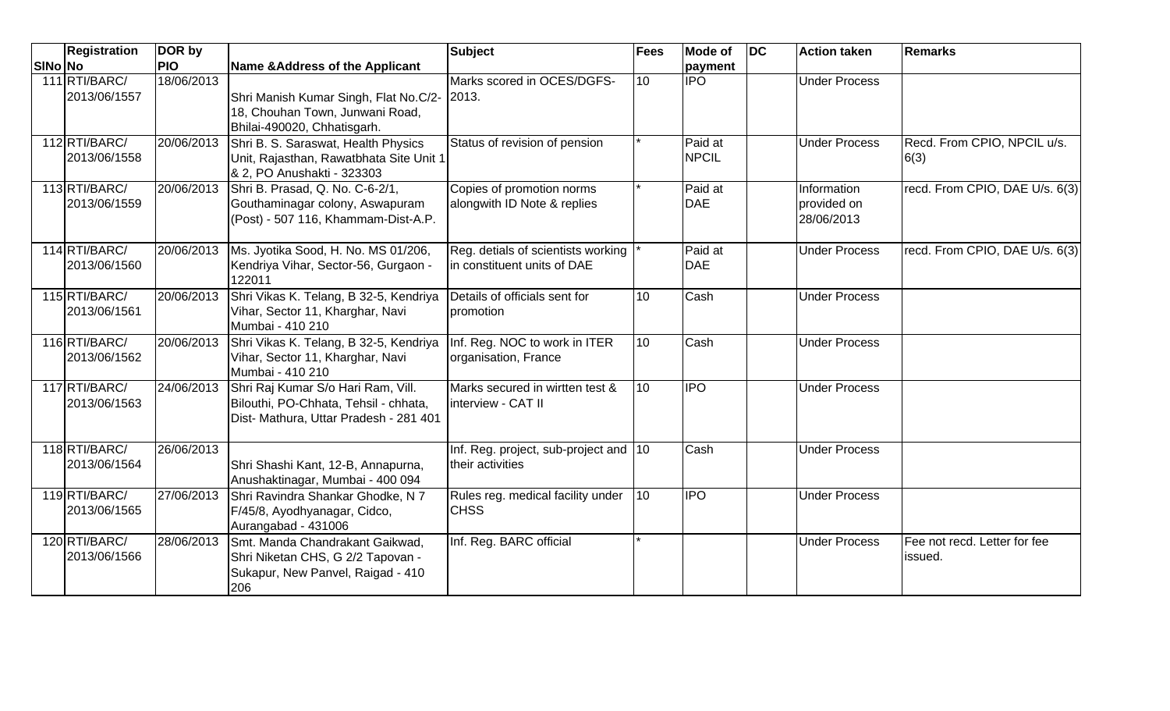|         | <b>Registration</b>           | DOR by     |                                                                                                                       | <b>Subject</b>                                                    | Fees            | <b>Mode of</b>          | $\overline{D}$ | <b>Action taken</b>                      | <b>Remarks</b>                          |
|---------|-------------------------------|------------|-----------------------------------------------------------------------------------------------------------------------|-------------------------------------------------------------------|-----------------|-------------------------|----------------|------------------------------------------|-----------------------------------------|
| SINo No |                               | <b>PIO</b> | <b>Name &amp;Address of the Applicant</b>                                                                             |                                                                   |                 | payment                 |                |                                          |                                         |
|         | 111 RTI/BARC/<br>2013/06/1557 | 18/06/2013 | Shri Manish Kumar Singh, Flat No.C/2- 2013.                                                                           | Marks scored in OCES/DGFS-                                        | 10 <sup>1</sup> | <b>I</b> IPO            |                | <b>Under Process</b>                     |                                         |
|         |                               |            | 18, Chouhan Town, Junwani Road,<br>Bhilai-490020, Chhatisgarh.                                                        |                                                                   |                 |                         |                |                                          |                                         |
|         | 112RTI/BARC/<br>2013/06/1558  | 20/06/2013 | Shri B. S. Saraswat, Health Physics<br>Unit, Rajasthan, Rawatbhata Site Unit 1<br>& 2, PO Anushakti - 323303          | Status of revision of pension                                     |                 | Paid at<br><b>NPCIL</b> |                | <b>Under Process</b>                     | Recd. From CPIO, NPCIL u/s.<br>6(3)     |
|         | 113 RTI/BARC/<br>2013/06/1559 | 20/06/2013 | Shri B. Prasad, Q. No. C-6-2/1,<br>Gouthaminagar colony, Aswapuram<br>(Post) - 507 116, Khammam-Dist-A.P.             | Copies of promotion norms<br>alongwith ID Note & replies          |                 | Paid at<br><b>DAE</b>   |                | Information<br>provided on<br>28/06/2013 | recd. From CPIO, DAE U/s. 6(3)          |
|         | 114 RTI/BARC/<br>2013/06/1560 | 20/06/2013 | Ms. Jyotika Sood, H. No. MS 01/206,<br>Kendriya Vihar, Sector-56, Gurgaon -<br>122011                                 | Reg. detials of scientists working<br>in constituent units of DAE |                 | Paid at<br><b>DAE</b>   |                | <b>Under Process</b>                     | recd. From CPIO, DAE U/s. 6(3)          |
|         | 115 RTI/BARC/<br>2013/06/1561 | 20/06/2013 | Shri Vikas K. Telang, B 32-5, Kendriya<br>Vihar, Sector 11, Kharghar, Navi<br>Mumbai - 410 210                        | Details of officials sent for<br>promotion                        | 10 <sup>1</sup> | Cash                    |                | <b>Under Process</b>                     |                                         |
|         | 116RTI/BARC/<br>2013/06/1562  | 20/06/2013 | Shri Vikas K. Telang, B 32-5, Kendriya<br>Vihar, Sector 11, Kharghar, Navi<br>Mumbai - 410 210                        | Inf. Reg. NOC to work in ITER<br>organisation, France             | 10              | Cash                    |                | <b>Under Process</b>                     |                                         |
|         | 117 RTI/BARC/<br>2013/06/1563 | 24/06/2013 | Shri Raj Kumar S/o Hari Ram, Vill.<br>Bilouthi, PO-Chhata, Tehsil - chhata,<br>Dist- Mathura, Uttar Pradesh - 281 401 | Marks secured in wirtten test &<br>interview - CAT II             | 10              | <b>IPO</b>              |                | <b>Under Process</b>                     |                                         |
|         | 118RTI/BARC/<br>2013/06/1564  | 26/06/2013 | Shri Shashi Kant, 12-B, Annapurna,<br>Anushaktinagar, Mumbai - 400 094                                                | Inf. Reg. project, sub-project and 10<br>their activities         |                 | Cash                    |                | <b>Under Process</b>                     |                                         |
|         | 119 RTI/BARC/<br>2013/06/1565 | 27/06/2013 | Shri Ravindra Shankar Ghodke, N 7<br>F/45/8, Ayodhyanagar, Cidco,<br>Aurangabad - 431006                              | Rules reg. medical facility under<br><b>CHSS</b>                  | 10 <sup>1</sup> | <b>IPO</b>              |                | <b>Under Process</b>                     |                                         |
|         | 120 RTI/BARC/<br>2013/06/1566 | 28/06/2013 | Smt. Manda Chandrakant Gaikwad,<br>Shri Niketan CHS, G 2/2 Tapovan -<br>Sukapur, New Panvel, Raigad - 410<br>206      | Inf. Reg. BARC official                                           |                 |                         |                | <b>Under Process</b>                     | Fee not recd. Letter for fee<br>issued. |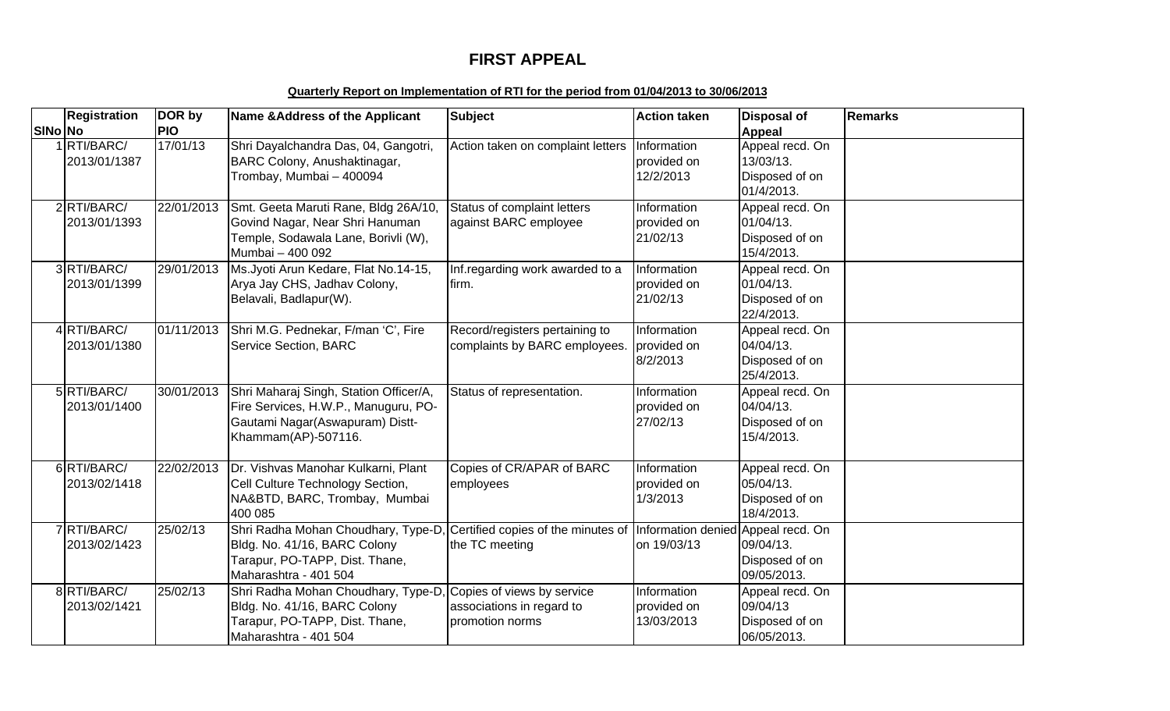# **FIRST APPEAL**

#### **Quarterly Report on Implementation of RTI for the period from 01/04/2013 to 30/06/2013**

|         | <b>Registration</b>           | DOR by     | Name & Address of the Applicant                                                                                                                                                                      | <b>Subject</b>                                                  | <b>Action taken</b>                      | Disposal of                                                  | <b>Remarks</b> |
|---------|-------------------------------|------------|------------------------------------------------------------------------------------------------------------------------------------------------------------------------------------------------------|-----------------------------------------------------------------|------------------------------------------|--------------------------------------------------------------|----------------|
| SINo No |                               | <b>PIO</b> |                                                                                                                                                                                                      |                                                                 |                                          | <b>Appeal</b>                                                |                |
|         | 1RTI/BARC/<br>2013/01/1387    | 17/01/13   | Shri Dayalchandra Das, 04, Gangotri,<br>BARC Colony, Anushaktinagar,<br>Trombay, Mumbai - 400094                                                                                                     | Action taken on complaint letters                               | Information<br>provided on<br>12/2/2013  | Appeal recd. On<br>13/03/13.<br>Disposed of on<br>01/4/2013. |                |
|         | $2$ RTI/BARC/<br>2013/01/1393 | 22/01/2013 | Smt. Geeta Maruti Rane, Bldg 26A/10,<br>Govind Nagar, Near Shri Hanuman<br>Temple, Sodawala Lane, Borivli (W),<br>Mumbai - 400 092                                                                   | Status of complaint letters<br>against BARC employee            | Information<br>provided on<br>21/02/13   | Appeal recd. On<br>01/04/13.<br>Disposed of on<br>15/4/2013. |                |
|         | 3RTI/BARC/<br>2013/01/1399    | 29/01/2013 | Ms. Jyoti Arun Kedare, Flat No. 14-15,<br>Arya Jay CHS, Jadhav Colony,<br>Belavali, Badlapur(W).                                                                                                     | Inf.regarding work awarded to a<br>firm.                        | Information<br>provided on<br>21/02/13   | Appeal recd. On<br>01/04/13.<br>Disposed of on<br>22/4/2013. |                |
|         | 4RTI/BARC/<br>2013/01/1380    | 01/11/2013 | Shri M.G. Pednekar, F/man 'C', Fire<br><b>Service Section, BARC</b>                                                                                                                                  | Record/registers pertaining to<br>complaints by BARC employees. | Information<br>provided on<br>8/2/2013   | Appeal recd. On<br>04/04/13.<br>Disposed of on<br>25/4/2013. |                |
|         | 5 RTI/BARC/<br>2013/01/1400   | 30/01/2013 | Shri Maharaj Singh, Station Officer/A,<br>Fire Services, H.W.P., Manuguru, PO-<br>Gautami Nagar(Aswapuram) Distt-<br>Khammam(AP)-507116.                                                             | Status of representation.                                       | Information<br>provided on<br>27/02/13   | Appeal recd. On<br>04/04/13.<br>Disposed of on<br>15/4/2013. |                |
|         | 6RTI/BARC/<br>2013/02/1418    | 22/02/2013 | Dr. Vishvas Manohar Kulkarni, Plant<br>Cell Culture Technology Section,<br>NA&BTD, BARC, Trombay, Mumbai<br>400 085                                                                                  | Copies of CR/APAR of BARC<br>employees                          | Information<br>provided on<br>1/3/2013   | Appeal recd. On<br>05/04/13.<br>Disposed of on<br>18/4/2013. |                |
|         | 7 RTI/BARC/<br>2013/02/1423   | 25/02/13   | Shri Radha Mohan Choudhary, Type-D, Certified copies of the minutes of Information denied Appeal recd. On<br>Bldg. No. 41/16, BARC Colony<br>Tarapur, PO-TAPP, Dist. Thane,<br>Maharashtra - 401 504 | the TC meeting                                                  | on 19/03/13                              | 09/04/13.<br>Disposed of on<br>09/05/2013.                   |                |
|         | 8RTI/BARC/<br>2013/02/1421    | 25/02/13   | Shri Radha Mohan Choudhary, Type-D, Copies of views by service<br>Bldg. No. 41/16, BARC Colony<br>Tarapur, PO-TAPP, Dist. Thane,<br>Maharashtra - 401 504                                            | associations in regard to<br>promotion norms                    | Information<br>provided on<br>13/03/2013 | Appeal recd. On<br>09/04/13<br>Disposed of on<br>06/05/2013. |                |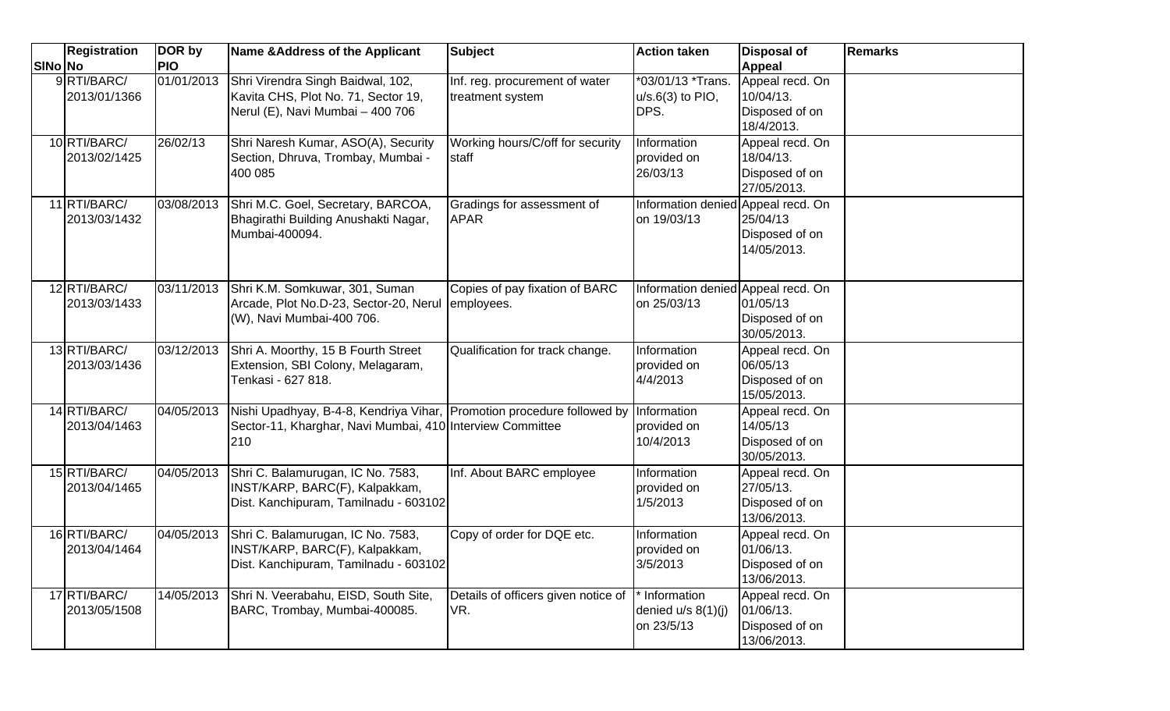| SINo No | <b>Registration</b>          | DOR by<br><b>PIO</b> | Name & Address of the Applicant                                                                                                            | <b>Subject</b>                                     | <b>Action taken</b>                                 | <b>Disposal of</b><br><b>Appeal</b>                           | <b>Remarks</b> |
|---------|------------------------------|----------------------|--------------------------------------------------------------------------------------------------------------------------------------------|----------------------------------------------------|-----------------------------------------------------|---------------------------------------------------------------|----------------|
|         | 9RTI/BARC/<br>2013/01/1366   | 01/01/2013           | Shri Virendra Singh Baidwal, 102,<br>Kavita CHS, Plot No. 71, Sector 19,<br>Nerul (E), Navi Mumbai - 400 706                               | Inf. reg. procurement of water<br>treatment system | *03/01/13 *Trans.<br>$u/s.6(3)$ to PIO,<br>DPS.     | Appeal recd. On<br>10/04/13.<br>Disposed of on<br>18/4/2013.  |                |
|         | 10 RTI/BARC/<br>2013/02/1425 | 26/02/13             | Shri Naresh Kumar, ASO(A), Security<br>Section, Dhruva, Trombay, Mumbai -<br>400 085                                                       | Working hours/C/off for security<br>staff          | Information<br>provided on<br>26/03/13              | Appeal recd. On<br>18/04/13.<br>Disposed of on<br>27/05/2013. |                |
|         | 11 RTI/BARC/<br>2013/03/1432 | 03/08/2013           | Shri M.C. Goel, Secretary, BARCOA,<br>Bhagirathi Building Anushakti Nagar,<br>Mumbai-400094.                                               | Gradings for assessment of<br><b>APAR</b>          | Information denied Appeal recd. On<br>on 19/03/13   | 25/04/13<br>Disposed of on<br>14/05/2013.                     |                |
|         | 12 RTI/BARC/<br>2013/03/1433 | 03/11/2013           | Shri K.M. Somkuwar, 301, Suman<br>Arcade, Plot No.D-23, Sector-20, Nerul<br>(W), Navi Mumbai-400 706.                                      | Copies of pay fixation of BARC<br>employees.       | Information denied Appeal recd. On<br>on 25/03/13   | 01/05/13<br>Disposed of on<br>30/05/2013.                     |                |
|         | 13 RTI/BARC/<br>2013/03/1436 | 03/12/2013           | Shri A. Moorthy, 15 B Fourth Street<br>Extension, SBI Colony, Melagaram,<br>Tenkasi - 627 818.                                             | Qualification for track change.                    | Information<br>provided on<br>4/4/2013              | Appeal recd. On<br>06/05/13<br>Disposed of on<br>15/05/2013.  |                |
|         | 14 RTI/BARC/<br>2013/04/1463 | 04/05/2013           | Nishi Upadhyay, B-4-8, Kendriya Vihar, Promotion procedure followed by<br>Sector-11, Kharghar, Navi Mumbai, 410 Interview Committee<br>210 |                                                    | Information<br>provided on<br>10/4/2013             | Appeal recd. On<br>14/05/13<br>Disposed of on<br>30/05/2013.  |                |
|         | 15 RTI/BARC/<br>2013/04/1465 | 04/05/2013           | Shri C. Balamurugan, IC No. 7583,<br>INST/KARP, BARC(F), Kalpakkam,<br>Dist. Kanchipuram, Tamilnadu - 603102                               | Inf. About BARC employee                           | Information<br>provided on<br>1/5/2013              | Appeal recd. On<br>27/05/13.<br>Disposed of on<br>13/06/2013. |                |
|         | 16 RTI/BARC/<br>2013/04/1464 | 04/05/2013           | Shri C. Balamurugan, IC No. 7583,<br>INST/KARP, BARC(F), Kalpakkam,<br>Dist. Kanchipuram, Tamilnadu - 603102                               | Copy of order for DQE etc.                         | Information<br>provided on<br>3/5/2013              | Appeal recd. On<br>01/06/13.<br>Disposed of on<br>13/06/2013. |                |
|         | 17 RTI/BARC/<br>2013/05/1508 | 14/05/2013           | Shri N. Veerabahu, EISD, South Site,<br>BARC, Trombay, Mumbai-400085.                                                                      | Details of officers given notice of<br>VR.         | * Information<br>denied $u/s$ 8(1)(j)<br>on 23/5/13 | Appeal recd. On<br>01/06/13.<br>Disposed of on<br>13/06/2013. |                |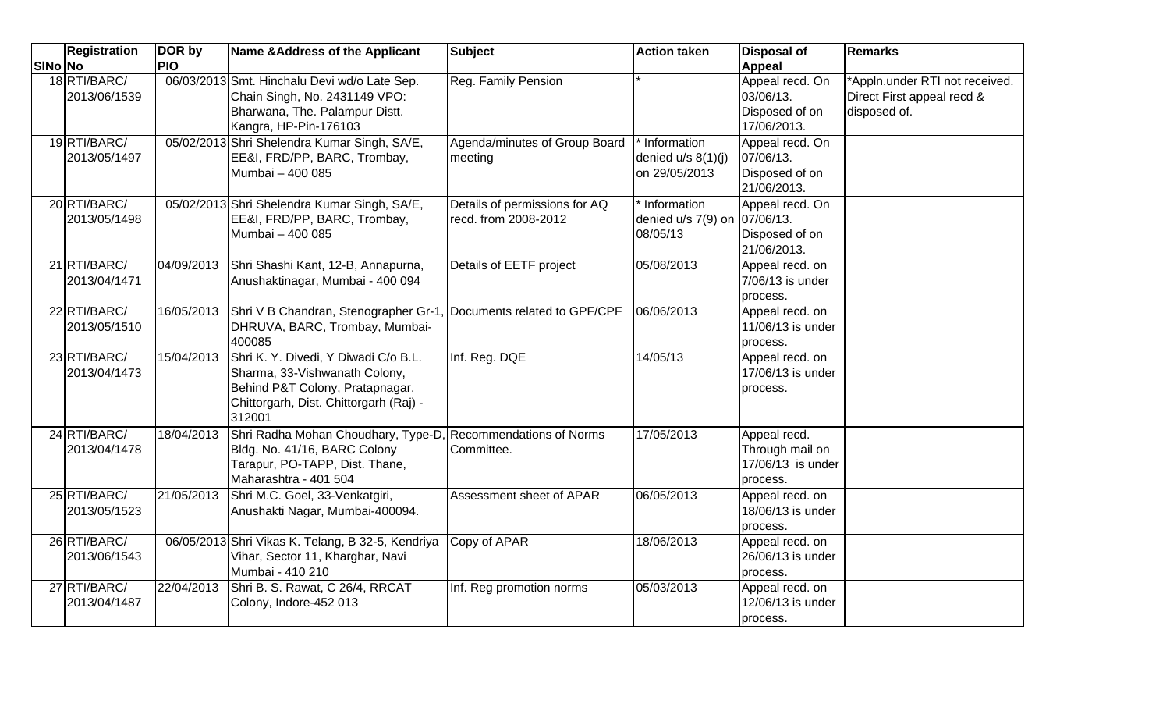|                | <b>Registration</b>          | DOR by     | Name & Address of the Applicant                                                                                                                              | <b>Subject</b>                                        | <b>Action taken</b>                                       | <b>Disposal of</b>                                               | <b>Remarks</b>                                                               |
|----------------|------------------------------|------------|--------------------------------------------------------------------------------------------------------------------------------------------------------------|-------------------------------------------------------|-----------------------------------------------------------|------------------------------------------------------------------|------------------------------------------------------------------------------|
| <b>SINo No</b> |                              | <b>PIO</b> |                                                                                                                                                              |                                                       |                                                           | <b>Appeal</b>                                                    |                                                                              |
|                | 18 RTI/BARC/<br>2013/06/1539 |            | 06/03/2013 Smt. Hinchalu Devi wd/o Late Sep.<br>Chain Singh, No. 2431149 VPO:<br>Bharwana, The. Palampur Distt.<br>Kangra, HP-Pin-176103                     | Reg. Family Pension                                   |                                                           | Appeal recd. On<br>03/06/13.<br>Disposed of on<br>17/06/2013.    | *Appln.under RTI not received.<br>Direct First appeal recd &<br>disposed of. |
|                | 19 RTI/BARC/<br>2013/05/1497 |            | 05/02/2013 Shri Shelendra Kumar Singh, SA/E,<br>EE&I, FRD/PP, BARC, Trombay,<br>Mumbai - 400 085                                                             | Agenda/minutes of Group Board<br>meeting              | * Information<br>denied $u/s$ 8(1)(j)<br>on 29/05/2013    | Appeal recd. On<br>07/06/13.<br>Disposed of on<br>21/06/2013.    |                                                                              |
|                | 20 RTI/BARC/<br>2013/05/1498 |            | 05/02/2013 Shri Shelendra Kumar Singh, SA/E,<br>EE&I, FRD/PP, BARC, Trombay,<br>Mumbai - 400 085                                                             | Details of permissions for AQ<br>recd. from 2008-2012 | * Information<br>denied u/s 7(9) on 07/06/13.<br>08/05/13 | Appeal recd. On<br>Disposed of on<br>21/06/2013.                 |                                                                              |
|                | 21 RTI/BARC/<br>2013/04/1471 | 04/09/2013 | Shri Shashi Kant, 12-B, Annapurna,<br>Anushaktinagar, Mumbai - 400 094                                                                                       | Details of EETF project                               | 05/08/2013                                                | Appeal recd. on<br>7/06/13 is under<br>process.                  |                                                                              |
|                | 22 RTI/BARC/<br>2013/05/1510 | 16/05/2013 | Shri V B Chandran, Stenographer Gr-1, Documents related to GPF/CPF<br>DHRUVA, BARC, Trombay, Mumbai-<br>400085                                               |                                                       | 06/06/2013                                                | Appeal recd. on<br>11/06/13 is under<br>process.                 |                                                                              |
|                | 23 RTI/BARC/<br>2013/04/1473 | 15/04/2013 | Shri K. Y. Divedi, Y Diwadi C/o B.L.<br>Sharma, 33-Vishwanath Colony,<br>Behind P&T Colony, Pratapnagar,<br>Chittorgarh, Dist. Chittorgarh (Raj) -<br>312001 | Inf. Reg. DQE                                         | 14/05/13                                                  | Appeal recd. on<br>17/06/13 is under<br>process.                 |                                                                              |
|                | 24 RTI/BARC/<br>2013/04/1478 | 18/04/2013 | Shri Radha Mohan Choudhary, Type-D.<br>Bldg. No. 41/16, BARC Colony<br>Tarapur, PO-TAPP, Dist. Thane,<br>Maharashtra - 401 504                               | <b>Recommendations of Norms</b><br>Committee.         | 17/05/2013                                                | Appeal recd.<br>Through mail on<br>17/06/13 is under<br>process. |                                                                              |
|                | 25 RTI/BARC/<br>2013/05/1523 | 21/05/2013 | Shri M.C. Goel, 33-Venkatgiri,<br>Anushakti Nagar, Mumbai-400094.                                                                                            | Assessment sheet of APAR                              | 06/05/2013                                                | Appeal recd. on<br>18/06/13 is under<br>process.                 |                                                                              |
|                | 26 RTI/BARC/<br>2013/06/1543 |            | 06/05/2013 Shri Vikas K. Telang, B 32-5, Kendriya<br>Vihar, Sector 11, Kharghar, Navi<br>Mumbai - 410 210                                                    | Copy of APAR                                          | 18/06/2013                                                | Appeal recd. on<br>26/06/13 is under<br>process.                 |                                                                              |
|                | 27 RTI/BARC/<br>2013/04/1487 | 22/04/2013 | Shri B. S. Rawat, C 26/4, RRCAT<br>Colony, Indore-452 013                                                                                                    | Inf. Reg promotion norms                              | 05/03/2013                                                | Appeal recd. on<br>12/06/13 is under<br>process.                 |                                                                              |